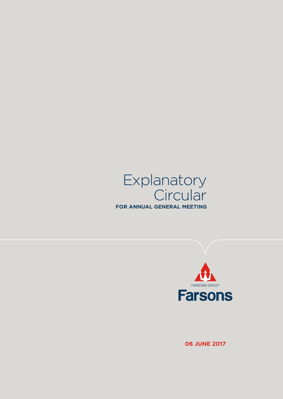



**06 June 2017**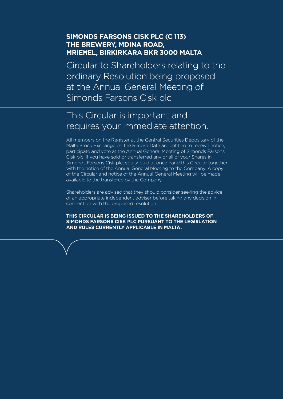## **Simonds Farsons Cisk plc (C 113) The Brewery, Mdina Road, MrieĦel, Birkirkara BKR 3000 Malta**

Circular to Shareholders relating to the ordinary Resolution being proposed at the Annual General Meeting of Simonds Farsons Cisk plc

# This Circular is important and requires your immediate attention.

All members on the Register at the Central Securities Depositary of the Malta Stock Exchange on the Record Date are entitled to receive notice, participate and vote at the Annual General Meeting of Simonds Farsons Cisk plc. If you have sold or transferred any or all of your Shares in Simonds Farsons Cisk plc, you should at once hand this Circular together with the notice of the Annual General Meeting to the Company. A copy of the Circular and notice of the Annual General Meeting will be made available to the transferee by the Company.

Shareholders are advised that they should consider seeking the advice of an appropriate independent adviser before taking any decision in connection with the proposed resolution.

**THIS CIRCULAR IS BEING ISSUED TO THE SHAREHOLDERS OF SIMONDS FARSONS CISK PLC PURSUANT TO THE LEGISLATION AND RULES CURRENTLY APPLICABLE IN MALTA.**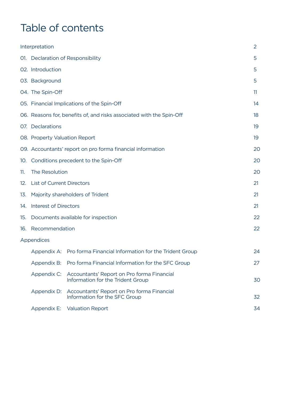# Table of contents

|     | Interpretation                |                                                                                 | $\overline{2}$ |
|-----|-------------------------------|---------------------------------------------------------------------------------|----------------|
|     |                               | 01. Declaration of Responsibility                                               | 5              |
|     | 02. Introduction              |                                                                                 | 5              |
|     | 03. Background                |                                                                                 | 5              |
|     | 04. The Spin-Off              |                                                                                 | 11             |
|     |                               | 05. Financial Implications of the Spin-Off                                      | 14             |
|     |                               | 06. Reasons for, benefits of, and risks associated with the Spin-Off            | 18             |
|     | 07. Declarations              |                                                                                 | 19             |
|     | 08. Property Valuation Report |                                                                                 | 19             |
|     |                               | 09. Accountants' report on pro forma financial information                      | 20             |
|     |                               | 10. Conditions precedent to the Spin-Off                                        | 20             |
| 11. | The Resolution                |                                                                                 | 20             |
|     | 12. List of Current Directors |                                                                                 | 21             |
|     |                               | 13. Majority shareholders of Trident                                            | 21             |
|     | 14. Interest of Directors     |                                                                                 | 21             |
|     |                               | 15. Documents available for inspection                                          | 22             |
|     | 16. Recommendation            |                                                                                 | 22             |
|     | Appendices                    |                                                                                 |                |
|     |                               | Appendix A: Pro forma Financial Information for the Trident Group               | 24             |
|     | Appendix B:                   | Pro forma Financial Information for the SFC Group                               | 27             |
|     | Appendix C:                   | Accountants' Report on Pro forma Financial<br>Information for the Trident Group | 30             |
|     | Appendix D:                   | Accountants' Report on Pro forma Financial<br>Information for the SFC Group     | 32             |
|     | Appendix E:                   | <b>Valuation Report</b>                                                         | 34             |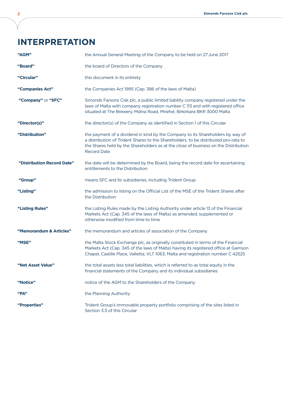# **Interpretation**

| "AGM"                      | the Annual General Meeting of the Company to be held on 27 June 2017                                                                                                                                                                                                               |
|----------------------------|------------------------------------------------------------------------------------------------------------------------------------------------------------------------------------------------------------------------------------------------------------------------------------|
| "Board"                    | the board of Directors of the Company                                                                                                                                                                                                                                              |
| "Circular"                 | this document in its entirety                                                                                                                                                                                                                                                      |
| "Companies Act"            | the Companies Act 1995 (Cap. 386 of the laws of Malta)                                                                                                                                                                                                                             |
| "Company" or "SFC"         | Simonds Farsons Cisk plc, a public limited liability company registered under the<br>laws of Malta with company registration number C 113 and with registered office<br>situated at The Brewery, Mdina Road, Mriehel, Birkirkara BKR 3000 Malta                                    |
| "Director(s)"              | the director(s) of the Company as identified in Section 1 of this Circular                                                                                                                                                                                                         |
| "Distribution"             | the payment of a dividend in kind by the Company to its Shareholders by way of<br>a distribution of Trident Shares to the Shareholders, to be distributed pro-rata to<br>the Shares held by the Shareholders as at the close of business on the Distribution<br><b>Record Date</b> |
| "Distribution Record Date" | the date will be determined by the Board, being the record date for ascertaining<br>entitlements to the Distribution                                                                                                                                                               |
| "Group"                    | means SFC and its subsidiaries, including Trident Group                                                                                                                                                                                                                            |
| "Listing"                  | the admission to listing on the Official List of the MSE of the Trident Shares after<br>the Distribution                                                                                                                                                                           |
| "Listing Rules"            | the Listing Rules made by the Listing Authority under article 13 of the Financial<br>Markets Act (Cap. 345 of the laws of Malta) as amended, supplemented or<br>otherwise modified from time to time                                                                               |
| "Memorandum & Articles"    | the memorandum and articles of association of the Company                                                                                                                                                                                                                          |
| "MSE"                      | the Malta Stock Exchange plc, as originally constituted in terms of the Financial<br>Markets Act (Cap. 345 of the laws of Malta) having its registered office at Garrison<br>Chapel, Castille Place, Valletta, VLT 1063, Malta and registration number C 42525                     |
| "Net Asset Value"          | the total assets less total liabilities, which is referred to as total equity in the<br>financial statements of the Company and its individual subsidiaries                                                                                                                        |
| "Notice"                   | notice of the AGM to the Shareholders of the Company                                                                                                                                                                                                                               |
| "PA"                       | the Planning Authority                                                                                                                                                                                                                                                             |
| "Properties"               | Trident Group's immovable property portfolio comprising of the sites listed in<br>Section 3.3 of this Circular                                                                                                                                                                     |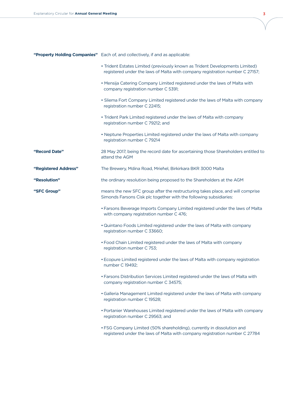|                      | "Property Holding Companies" Each of, and collectively, if and as applicable:                                                                                |
|----------------------|--------------------------------------------------------------------------------------------------------------------------------------------------------------|
|                      | • Trident Estates Limited (previously known as Trident Developments Limited)<br>registered under the laws of Malta with company registration number C 27157; |
|                      | . Mensija Catering Company Limited registered under the laws of Malta with<br>company registration number C 5391;                                            |
|                      | • Sliema Fort Company Limited registered under the laws of Malta with company<br>registration number C 22415;                                                |
|                      | • Trident Park Limited registered under the laws of Malta with company<br>registration number C 79212; and                                                   |
|                      | • Neptune Properties Limited registered under the laws of Malta with company<br>registration number C 79214                                                  |
| "Record Date"        | 28 May 2017, being the record date for ascertaining those Shareholders entitled to<br>attend the AGM                                                         |
| "Registered Address" | The Brewery, Mdina Road, Mriehel, Birkirkara BKR 3000 Malta                                                                                                  |
| "Resolution"         | the ordinary resolution being proposed to the Shareholders at the AGM                                                                                        |
| "SFC Group"          | means the new SFC group after the restructuring takes place, and will comprise<br>Simonds Farsons Cisk plc together with the following subsidiaries:         |
|                      | • Farsons Beverage Imports Company Limited registered under the laws of Malta<br>with company registration number C 476;                                     |
|                      | . Quintano Foods Limited registered under the laws of Malta with company<br>registration number C 33660;                                                     |
|                      | • Food Chain Limited registered under the laws of Malta with company<br>registration number C 753;                                                           |
|                      | • Ecopure Limited registered under the laws of Malta with company registration<br>number C 19492;                                                            |
|                      | • Farsons Distribution Services Limited registered under the laws of Malta with<br>company registration number C 34575;                                      |
|                      | . Galleria Management Limited registered under the laws of Malta with company<br>registration number C 19528;                                                |
|                      | • Portanier Warehouses Limited registered under the laws of Malta with company<br>registration number C 29563; and                                           |
|                      | • FSG Company Limited (50% shareholding), currently in dissolution and<br>registered under the laws of Malta with company registration number C 27784        |

V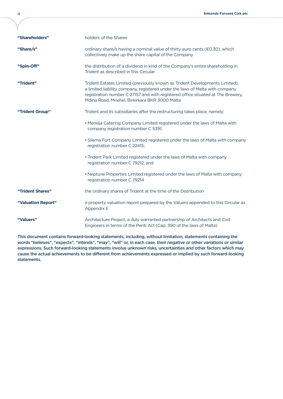| "Shareholders"     | holders of the Shares                                                                                                                                                                                                                                                                            |
|--------------------|--------------------------------------------------------------------------------------------------------------------------------------------------------------------------------------------------------------------------------------------------------------------------------------------------|
| "Share/s"          | ordinary share/s having a nominal value of thirty euro cents (€0.30), which<br>collectively make up the share capital of the Company                                                                                                                                                             |
| "Spin-Off"         | the distribution of a dividend in kind of the Company's entire shareholding in<br>Trident as described in this Circular                                                                                                                                                                          |
| "Trident"          | Trident Estates Limited (previously known as Trident Developments Limited),<br>a limited liability company, registered under the laws of Malta with company<br>registration number C 27157 and with registered office situated at The Brewery,<br>Mdina Road, Mriehel, Birkirkara BKR 3000 Malta |
| "Trident Group"    | Trident and its subsidiaries after the restructuring takes place, namely:                                                                                                                                                                                                                        |
|                    | . Mensija Catering Company Limited registered under the laws of Malta with<br>company registration number C 5391;                                                                                                                                                                                |
|                    | . Sliema Fort Company Limited registered under the laws of Malta with company<br>registration number C 22415;                                                                                                                                                                                    |
|                    | • Trident Park Limited registered under the laws of Malta with company<br>registration number C 79212; and                                                                                                                                                                                       |
|                    | • Neptune Properties Limited registered under the laws of Malta with company<br>registration number C 79214                                                                                                                                                                                      |
| "Trident Shares"   | the ordinary shares of Trident at the time of the Distribution                                                                                                                                                                                                                                   |
| "Valuation Report" | a property valuation report prepared by the Valuers appended to this Circular as<br>Appendix E                                                                                                                                                                                                   |
| "Valuers"          | Architecture Project, a duly warranted partnership of Architects and Civil<br>Engineers in terms of the Periti Act (Cap. 390 of the laws of Malta)                                                                                                                                               |

This document contains forward-looking statements, including, without limitation, statements containing the words "believes", "expects", "intends", "may", "will" or, in each case, their negative or other variations or similar expressions. Such forward-looking statements involve unknown risks, uncertainties and other factors which may cause the actual achievements to be different from achievements expressed or implied by such forward-looking statements.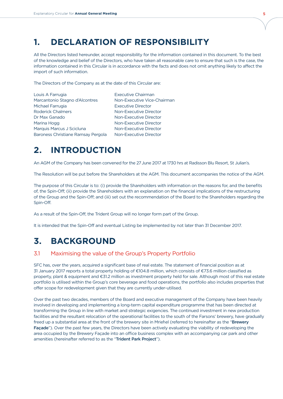## **1. DECLARATION OF RESPONSIBILITY**

All the Directors listed hereunder, accept responsibility for the information contained in this document. To the best of the knowledge and belief of the Directors, who have taken all reasonable care to ensure that such is the case, the information contained in this Circular is in accordance with the facts and does not omit anything likely to affect the import of such information.

The Directors of the Company as at the date of this Circular are:

| Louis A Farrugia                   | <b>Executive Chairman</b>   |
|------------------------------------|-----------------------------|
| Marcantonio Stagno d'Alcontres     | Non-Executive Vice-Chairman |
| Michael Farrugia                   | <b>Executive Director</b>   |
| <b>Roderick Chalmers</b>           | Non-Executive Director      |
| Dr Max Ganado                      | Non-Executive Director      |
| Marina Hogg                        | Non-Executive Director      |
| Marquis Marcus J Scicluna          | Non-Executive Director      |
| Baroness Christiane Ramsay Pergola | Non-Executive Director      |

# **2. INTRODUCTION**

An AGM of the Company has been convened for the 27 June 2017 at 1730 hrs at Radisson Blu Resort, St Julian's.

The Resolution will be put before the Shareholders at the AGM. This document accompanies the notice of the AGM.

The purpose of this Circular is to: (i) provide the Shareholders with information on the reasons for, and the benefits of, the Spin-Off; (ii) provide the Shareholders with an explanation on the financial implications of the restructuring of the Group and the Spin-Off; and (iii) set out the recommendation of the Board to the Shareholders regarding the Spin-Off.

As a result of the Spin-Off, the Trident Group will no longer form part of the Group.

It is intended that the Spin-Off and eventual Listing be implemented by not later than 31 December 2017.

## **3. BACKGROUND**

### 3.1 Maximising the value of the Group's Property Portfolio

SFC has, over the years, acquired a significant base of real estate. The statement of financial position as at 31 January 2017 reports a total property holding of  $E104.8$  million, which consists of  $E73.6$  million classified as property, plant & equipment and €31.2 million as investment property held for sale. Although most of this real estate portfolio is utilised within the Group's core beverage and food operations, the portfolio also includes properties that offer scope for redevelopment given that they are currently under-utilised.

Over the past two decades, members of the Board and executive management of the Company have been heavily involved in developing and implementing a long-term capital expenditure programme that has been directed at transforming the Group in line with market and strategic exigencies. The continued investment in new production facilities and the resultant relocation of the operational facilities to the south of the Farsons' brewery, have gradually freed up a substantial area at the front of the brewery site in Mrieħel (referred to hereinafter as the "Brewery Façade"). Over the past few years, the Directors have been actively evaluating the viability of redeveloping the area occupied by the Brewery Façade into an office business complex with an accompanying car park and other amenities (hereinafter referred to as the "Trident Park Project").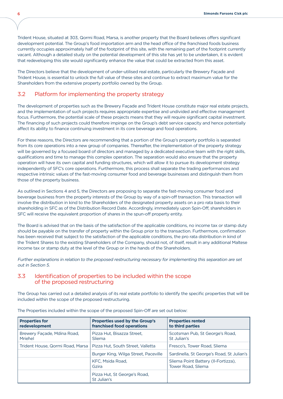Trident House, situated at 303, Qormi Road, Marsa, is another property that the Board believes offers significant development potential. The Group's food importation arm and the head office of the franchised foods business currently occupies approximately half of the footprint of this site, with the remaining part of the footprint currently vacant. Although a detailed study on the potential development of this site has yet to be undertaken, it is evident that redeveloping this site would significantly enhance the value that could be extracted from this asset.

The Directors believe that the development of under-utilised real estate, particularly the Brewery Façade and Trident House, is essential to unlock the full value of these sites and continue to extract maximum value for the Shareholders from the extensive property portfolio owned by the Group.

### 3.2 Platform for implementing the property strategy

The development of properties such as the Brewery Façade and Trident House constitute major real estate projects, and the implementation of such projects requires appropriate expertise and undivided and effective management focus. Furthermore, the potential scale of these projects means that they will require significant capital investment. The financing of such projects could therefore impinge on the Group's debt service capacity and hence potentially affect its ability to finance continuing investment in its core beverage and food operations.

For these reasons, the Directors are recommending that a portion of the Group's property portfolio is separated from its core operations into a new group of companies. Thereafter, the implementation of the property strategy will be governed by a focused board of directors and managed by a dedicated executive team with the right skills, qualifications and time to manage this complex operation. The separation would also ensure that the property operation will have its own capital and funding structures, which will allow it to pursue its development strategy independently of SFC's core operations. Furthermore, this process shall separate the trading performances and respective intrinsic values of the fast-moving consumer food and beverage businesses and distinguish them from those of the property business.

As outlined in Sections 4 and 5, the Directors are proposing to separate the fast-moving consumer food and beverage business from the property interests of the Group by way of a spin-off transaction. This transaction will involve the distribution in kind to the Shareholders of the designated property assets on a pro rata basis to their shareholding in SFC as of the Distribution Record Date. Accordingly, immediately upon Spin-Off, shareholders in SFC will receive the equivalent proportion of shares in the spun-off property entity.

The Board is advised that on the basis of the satisfaction of the applicable conditions, no income tax or stamp duty should be payable on the transfer of property within the Group prior to the transaction. Furthermore, confirmation has been received that subject to the satisfaction of the applicable conditions, the pro rata distribution in kind of the Trident Shares to the existing Shareholders of the Company, should not, of itself, result in any additional Maltese income tax or stamp duty at the level of the Group or in the hands of the Shareholders.

Further explanations in relation to the proposed restructuring necessary for implementing this separation are set out in Section 5.

### 3.3 Identification of properties to be included within the scope of the proposed restructuring

The Group has carried out a detailed analysis of its real estate portfolio to identify the specific properties that will be included within the scope of the proposed restructuring.

| <b>Properties for</b><br>redevelopment | <b>Properties used by the Group's</b><br>franchised food operations | <b>Properties rented</b><br>to third parties                     |
|----------------------------------------|---------------------------------------------------------------------|------------------------------------------------------------------|
| Brewery Facade, Mdina Road,<br>Mriehel | Pizza Hut, Bisazza Street,<br>Sliema                                | Scotsman Pub, St George's Road,<br>St Julian's                   |
| Trident House, Qormi Road, Marsa       | Pizza Hut, South Street, Valletta                                   | Fresco's, Tower Road, Sliema                                     |
|                                        | Burger King, Wilga Street, Paceville                                | Sardinella, St George's Road, St Julian's                        |
|                                        | KFC. Msida Road.<br>Gzira                                           | Sliema Point Battery (Il-Fortizza),<br><b>Tower Road, Sliema</b> |
|                                        | Pizza Hut, St George's Road,<br>St Julian's                         |                                                                  |

The Properties included within the scope of the proposed Spin-Off are set out below: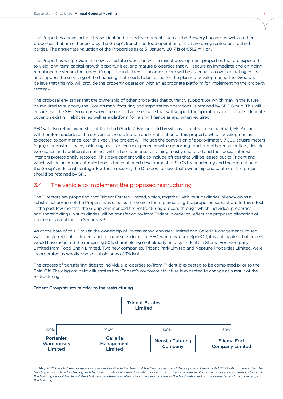The Properties above include those identified for redevelopment, such as the Brewery Façade, as well as other properties that are either used by the Group's franchised food operation or that are being rented out to third parties. The aggregate valuation of the Properties as at 31 January 2017 is of  $\epsilon$ 31.2 million.

The Properties will provide the new real estate operation with a mix of development properties that are expected to yield long-term capital growth opportunities, and mature properties that will secure an immediate and on-going rental income stream for Trident Group. The initial rental income stream will be essential to cover operating costs and support the servicing of the financing that needs to be raised for the planned developments. The Directors believe that this mix will provide the property operation with an appropriate platform for implementing the property strategy.

The proposal envisages that the ownership of other properties that currently support (or which may in the future be required to support) the Group's manufacturing and importation operations, is retained by SFC Group. This will ensure that the SFC Group preserves a substantial asset base that will support the operations and provide adequate cover on existing liabilities, as well as a platform for raising finance as and when required.

SFC will also retain ownership of the listed Grade 2' Farsons' old brewhouse situated in Mdina Road, Mrieħel and will therefore undertake the conversion, rehabilitation and re-utilisation of this property, which development is expected to commence later this year. The project will include the conversion of approximately 7,000 square meters (sqm) of industrial space, including a visitor centre experience with supporting food and other retail outlets, flexible workspace and additional amenities with all components remaining mostly unaltered and the special interest interiors professionally restored. This development will also include offices that will be leased out to Trident and which will be an important milestone in the continued development of SFC's brand identity and the protection of the Group's industrial heritage. For these reasons, the Directors believe that ownership and control of the project should be retained by SFC.

### 3.4 The vehicle to implement the proposed restructuring

The Directors are proposing that Trident Estates Limited, which, together with its subsidiaries, already owns a substantial portion of the Properties, is used as the vehicle for implementing the proposed separation. To this effect, in the past few months, the Group commenced the restructuring process through which individual properties and shareholdings in subsidiaries will be transferred to/from Trident in order to reflect the proposed allocation of properties as outlined in Section 3.3.

As at the date of this Circular, the ownership of Portanier Warehouses Limited and Galleria Management Limited was transferred out of Trident and are now subsidiaries of SFC, whereas, upon Spin-Off, it is anticipated that Trident would have acquired the remaining 50% shareholding (not already held by Trident) in Sliema Fort Company Limited from Food Chain Limited. Two new companies, Trident Park Limited and Neptune Properties Limited, were incorporated as wholly-owned subsidiaries of Trident.

The process of transferring titles to individual properties to/from Trident is expected to be completed prior to the Spin-Off. The diagram below illustrates how Trident's corporate structure is expected to change as a result of the restructuring:

#### Trident Group structure prior to the restructuring



<sup>1</sup> In May 2012, the old brewhouse was scheduled as Grade 2 in terms of the Environment and Development Planning Act 2010, which means that the building is considered as having architectural or historical interest or which contribute to the visual image of an urban conservation area and as such the building cannot be demolished but can be altered sensitively in a manner that causes the least detriment to the character and homogeneity of the building.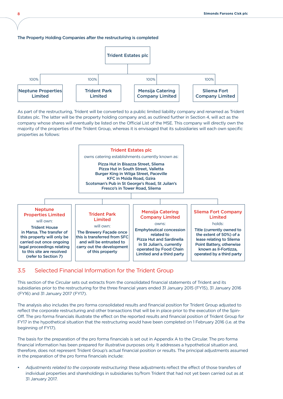#### The Property Holding Companies after the restructuring is completed



As part of the restructuring, Trident will be converted to a public limited liability company and renamed as Trident Estates plc. The latter will be the property holding company and, as outlined further in Section 4, will act as the company whose shares will eventually be listed on the Official List of the MSE. This company will directly own the majority of the properties of the Trident Group, whereas it is envisaged that its subsidiaries will each own specific properties as follows:



## 3.5 Selected Financial Information for the Trident Group

This section of the Circular sets out extracts from the consolidated financial statements of Trident and its subsidiaries prior to the restructuring for the three financial years ended 31 January 2015 (FY15), 31 January 2016 (FY16) and 31 January 2017 (FY17).

The analysis also includes the pro forma consolidated results and financial position for Trident Group adjusted to reflect the corporate restructuring and other transactions that will be in place prior to the execution of the Spin-Off. The pro forma financials illustrate the effect on the reported results and financial position of Trident Group for FY17 in the hypothetical situation that the restructuring would have been completed on 1 February 2016 (i.e. at the beginning of FY17).

The basis for the preparation of the pro forma financials is set out in Appendix A to the Circular. The pro forma financial information has been prepared for illustrative purposes only. It addresses a hypothetical situation and, therefore, does not represent Trident Group's actual financial position or results. The principal adjustments assumed in the preparation of the pro forma financials include:

• Adjustments related to the corporate restructuring: these adjustments reflect the effect of those transfers of individual properties and shareholdings in subsidiaries to/from Trident that had not yet been carried out as at 31 January 2017.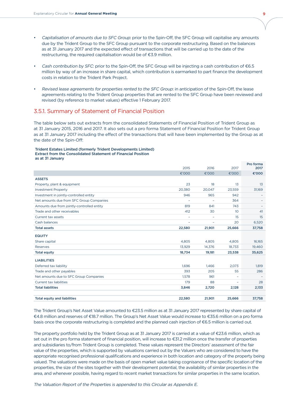- Capitalisation of amounts due to SFC Group: prior to the Spin-Off, the SFC Group will capitalise any amounts due by the Trident Group to the SFC Group pursuant to the corporate restructuring. Based on the balances as at 31 January 2017 and the expected effect of transactions that will be carried up to the date of the restructuring, the required capitalisation would be of  $E$ 3.9 million.
- Cash contribution by SFC: prior to the Spin-Off, the SFC Group will be injecting a cash contribution of  $\epsilon$ 6.5 million by way of an increase in share capital, which contribution is earmarked to part finance the development costs in relation to the Trident Park Project.
- Revised lease agreements for properties rented to the SFC Group: in anticipation of the Spin-Off, the lease agreements relating to the Trident Group properties that are rented to the SFC Group have been reviewed and revised (by reference to market values) effective 1 February 2017.

### 3.5.1. Summary of Statement of Financial Position

The table below sets out extracts from the consolidated Statements of Financial Position of Trident Group as at 31 January 2015, 2016 and 2017. It also sets out a pro forma Statement of Financial Position for Trident Group as at 31 January 2017 including the effect of the transactions that will have been implemented by the Group as at the date of the Spin-Off:

#### Trident Estates Limited (formerly Trident Developments Limited) Extract from the Consolidated Statement of Financial Position as at 31 January

|                                            | 2015                     | 2016                     | 2017                     | Pro forma<br>2017 |
|--------------------------------------------|--------------------------|--------------------------|--------------------------|-------------------|
|                                            | €'000                    | €'000                    | €'000                    | €'000             |
| <b>ASSETS</b>                              |                          |                          |                          |                   |
| Property, plant & equipment                | 23                       | 18                       | 13                       | 13                |
| <b>Investment Property</b>                 | 20,380                   | 20.047                   | 23,559                   | 31,169            |
| Investment in jointly-controlled entity    | 946                      | 965                      | 942                      |                   |
| Net amounts due from SFC Group Companies   | $\overline{\phantom{0}}$ | $\overline{\phantom{a}}$ | 364                      |                   |
| Amounts due from jointly-controlled entity | 819                      | 841                      | 743                      |                   |
| Trade and other receivables                | 412                      | 30                       | 10                       | 41                |
| Current tax assets                         | $\overline{\phantom{0}}$ |                          | 15                       | 15                |
| Cash balances                              | -                        |                          | 20                       | 6,520             |
| <b>Total assets</b>                        | 22,580                   | 21,901                   | 25,666                   | 37,758            |
| <b>EQUITY</b>                              |                          |                          |                          |                   |
| Share capital                              | 4,805                    | 4,805                    | 4,805                    | 16,165            |
| Reserves                                   | 13,929                   | 14,376                   | 18,733                   | 19,460            |
| <b>Total equity</b>                        | 18,734                   | 19,181                   | 23,538                   | 35,625            |
| <b>LIABILITIES</b>                         |                          |                          |                          |                   |
| Deferred tax liability                     | 1.696                    | 1.466                    | 2.073                    | 1,819             |
| Trade and other payables                   | 393                      | 205                      | 55                       | 286               |
| Net amounts due to SFC Group Companies     | 1.578                    | 961                      |                          |                   |
| <b>Current tax liabilities</b>             | 179                      | 88                       | $\overline{\phantom{0}}$ | 28                |
| <b>Total liabilities</b>                   | 3,846                    | 2,720                    | 2,128                    | 2,133             |
|                                            |                          |                          |                          |                   |
| <b>Total equity and liabilities</b>        | 22,580                   | 21,901                   | 25,666                   | 37,758            |

The Trident Group's Net Asset Value amounted to €23.5 million as at 31 January 2017 represented by share capital of ¤4.8 million and reserves of ¤18.7 million. The Group's Net Asset Value would increase to ¤35.6 million on a pro forma basis once the corporate restructuring is completed and the planned cash injection of  $\epsilon$ 6.5 million is carried out.

The property portfolio held by the Trident Group as at 31 January 2017 is carried at a value of €23.6 million, which as set out in the pro forma statement of financial position, will increase to €31.2 million once the transfer of properties and subsidiaries to/from Trident Group is completed. These values represent the Directors' assessment of the fair value of the properties, which is supported by valuations carried out by the Valuers who are considered to have the appropriate recognised professional qualifications and experience in both location and category of the property being valued. The valuations were made on the basis of open market value taking cognisance of the specific location of the properties, the size of the sites together with their development potential, the availability of similar properties in the area, and whenever possible, having regard to recent market transactions for similar properties in the same location.

The Valuation Report of the Properties is appended to this Circular as Appendix E.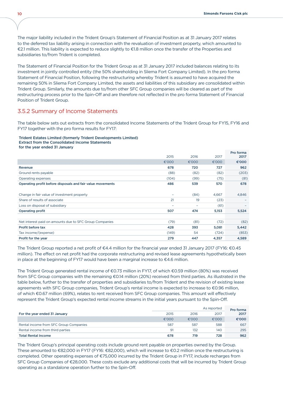The major liability included in the Trident Group's Statement of Financial Position as at 31 January 2017 relates to the deferred tax liability arising in connection with the revaluation of investment property, which amounted to €2.1 million. This liability is expected to reduce slightly to €1.8 million once the transfer of the Properties and subsidiaries to/from Trident is completed.

The Statement of Financial Position for the Trident Group as at 31 January 2017 included balances relating to its investment in jointly controlled entity (the 50% shareholding in Sliema Fort Company Limited). In the pro forma Statement of Financial Position, following the restructuring whereby Trident is assumed to have acquired the remaining 50% in Sliema Fort Company Limited, the assets and liabilities of this subsidiary are consolidated within Trident Group. Similarly, the amounts due to/from other SFC Group companies will be cleared as part of the restructuring process prior to the Spin-Off and are therefore not reflected in the pro forma Statement of Financial Position of Trident Group.

### 3.5.2 Summary of Income Statements

The table below sets out extracts from the consolidated Income Statements of the Trident Group for FY15, FY16 and FY17 together with the pro forma results for FY17:

#### Trident Estates Limited (formerly Trident Developments Limited) Extract from the Consolidated Income Statements for the year ended 31 January

|                                                            |                          |                 |       | Pro forma |
|------------------------------------------------------------|--------------------------|-----------------|-------|-----------|
|                                                            | 2015                     | 2016            | 2017  | 2017      |
|                                                            | €'000                    | €'000           | €'000 | €'000     |
| Revenue                                                    | 678                      | 720             | 727   | 962       |
| Ground rents payable                                       | (88)                     | (82)            | (82)  | (203)     |
| Operating expenses                                         | (104)                    | (99)            | (75)  | (81)      |
| Operating profit before disposals and fair value movements | 486                      | 539             | 570   | 678       |
|                                                            |                          |                 |       |           |
| Change in fair value of investment property                |                          | (84)            | 4,667 | 4,846     |
| Share of results of associate                              | 21                       | 19              | (23)  |           |
| Loss on disposal of subsidiary                             | $\overline{\phantom{0}}$ | $\qquad \qquad$ | (61)  |           |
| Operating profit                                           | 507                      | 474             | 5,153 | 5,524     |
|                                                            |                          |                 |       |           |
| Net interest paid on amounts due to SFC Group Companies    | (79)                     | (81)            | (72)  | (82)      |
| Profit before tax                                          | 428                      | 393             | 5,081 | 5,442     |
| Tax income/(expense)                                       | (149)                    | 54              | (724) | (853)     |
| Profit for the year                                        | 279                      | 447             | 4,357 | 4,589     |

The Trident Group reported a net profit of  $\epsilon$ 4.4 million for the financial year ended 31 January 2017 (FY16:  $\epsilon$ 0.45 million). The effect on net profit had the corporate restructuring and revised lease agreements hypothetically been in place at the beginning of FY17 would have been a marginal increase to  $\epsilon$ 4.6 million.

The Trident Group generated rental income of €0.73 million in FY17, of which €0.59 million (80%) was received from SFC Group companies with the remaining €0.14 million (20%) received from third parties. As illustrated in the table below, further to the transfer of properties and subsidiaries to/from Trident and the revision of existing lease agreements with SFC Group companies, Trident Group's rental income is expected to increase to €0.96 million, of which €0.67 million (69%), relates to rent received from SFC Group companies. This amount will effectively represent the Trident Group's expected rental income streams in the initial years pursuant to the Spin-Off.

|                                        |       |       | As reported | Pro forma |
|----------------------------------------|-------|-------|-------------|-----------|
| For the year ended 31 January          | 2015  | 2016  | 2017        | 2017      |
|                                        | €'000 | €'000 | €'000       | €'000     |
| Rental income from SFC Group Companies | 587   | 587   | 588         | 667       |
| Rental income from third parties       | 91    | 132   | 140         | 295       |
| <b>Total Rental Income</b>             | 678   | 719   | 728         | 962       |

The Trident Group's principal operating costs include ground rent payable on properties owned by the Group. These amounted to  $E$ 82,000 in FY17 (FY16:  $E$ 82,000), which will increase to  $E$ 0.2 million once the restructuring is completed. Other operating expenses of €75,000 incurred by the Trident Group in FY17, include recharges from SFC Group Companies of  $\epsilon$ 28,000. These costs exclude any additional costs that will be incurred by Trident Group operating as a standalone operation further to the Spin-Off.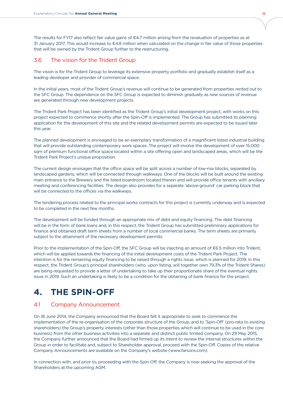The results for FY17 also reflect fair value gains of  $€4.7$  million arising from the revaluation of properties as at 31 January 2017. This would increase to €4.8 million when calculated on the change in fair value of those properties that will be owned by the Trident Group further to the restructuring.

### 3.6 The vision for the Trident Group

The vision is for the Trident Group to leverage its extensive property portfolio and gradually establish itself as a leading developer and provider of commercial space.

In the initial years, most of the Trident Group's revenue will continue to be generated from properties rented out to the SFC Group. The dependence on the SFC Group is expected to diminish gradually as new sources of revenue are generated through new development projects.

The Trident Park Project has been identified as the Trident Group's initial development project, with works on this project expected to commence shortly after the Spin-Off is implemented. The Group has submitted its planning application for the development of this site and the related development permits are expected to be issued later this year.

The planned development is envisaged to be an exemplary transformation of a magnificent listed industrial building that will provide outstanding contemporary work spaces. The project will involve the development of over 15,000 sqm of premium functional office space located within a site offering open and landscaped areas, which will be the Trident Park Project's unique proposition.

The current design envisages that the office space will be split across a number of low-rise blocks, separated by landscaped gardens, which will be connected through walkways. One of the blocks will be built around the existing main entrance to the Brewery and the listed boardroom located therein and will provide office tenants with ancillary meeting and conferencing facilities. The design also provides for a separate 'above-ground' car parking block that will be connected to the offices via the walkways.

The tendering process related to the principal works contracts for this project is currently underway and is expected to be completed in the next few months.

The development will be funded through an appropriate mix of debt and equity financing. The debt financing will be in the form of bank loans and, in this respect, the Trident Group has submitted preliminary applications for finance and obtained draft term sheets from a number of local commercial banks. The term sheets are primarily subject to the attainment of the necessary development permits.

Prior to the implementation of the Spin-Off, the SFC Group will be injecting an amount of €6.5 million into Trident, which will be applied towards the financing of the initial development costs of the Trident Park Project. The intention is for the remaining equity financing to be raised through a rights issue, which is planned for 2019. In this respect, the Trident Group's principal shareholders (who, upon listing, will together own 79.3% of the Trident Shares) are being requested to provide a letter of undertaking to take up their proportionate share of the eventual rights issue in 2019. Such an undertaking is likely to be a condition for the obtaining of bank finance for the project.

## **4. THE Spin-Off**

## 4.1 Company Announcement

On 18 June 2014, the Company announced that the Board felt it appropriate to seek to commence the implementation of the re-organisation of the corporate structure of the Group, and to 'Spin-Off' (pro-rata to existing shareholders) the Group's property interests (other than those properties which will continue to be used in the core business) from the other business activities into a separate and distinct public limited company. On 29 May 2015, the Company further announced that the Board had firmed up its intent to review the internal structures within the Group in order to facilitate and, subject to Shareholder approval, proceed with the Spin-Off. Copies of the relative Company Announcements are available on the Company's website (www.farsons.com).

In connection with, and prior to, proceeding with the Spin-Off, the Company is now seeking the approval of the Shareholders at the upcoming AGM.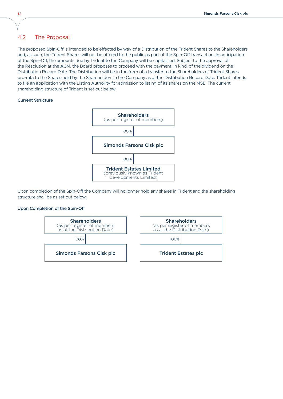### 4.2 The Proposal

The proposed Spin-Off is intended to be effected by way of a Distribution of the Trident Shares to the Shareholders and, as such, the Trident Shares will not be offered to the public as part of the Spin-Off transaction. In anticipation of the Spin-Off, the amounts due by Trident to the Company will be capitalised. Subject to the approval of the Resolution at the AGM, the Board proposes to proceed with the payment, in kind, of the dividend on the Distribution Record Date. The Distribution will be in the form of a transfer to the Shareholders of Trident Shares pro-rata to the Shares held by the Shareholders in the Company as at the Distribution Record Date. Trident intends to file an application with the Listing Authority for admission to listing of its shares on the MSE. The current shareholding structure of Trident is set out below:

#### Current Structure



Upon completion of the Spin-Off the Company will no longer hold any shares in Trident and the shareholding structure shall be as set out below:

#### Upon Completion of the Spin-Off

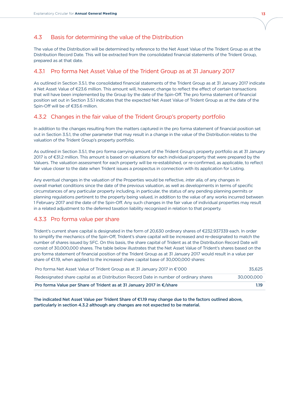## 4.3 Basis for determining the value of the Distribution

The value of the Distribution will be determined by reference to the Net Asset Value of the Trident Group as at the Distribution Record Date. This will be extracted from the consolidated financial statements of the Trident Group, prepared as at that date.

## 4.3.1 Pro forma Net Asset Value of the Trident Group as at 31 January 2017

As outlined in Section 3.5.1, the consolidated financial statements of the Trident Group as at 31 January 2017 indicate a Net Asset Value of €23.6 million. This amount will, however, change to reflect the effect of certain transactions that will have been implemented by the Group by the date of the Spin-Off. The pro forma statement of financial position set out in Section 3.5.1 indicates that the expected Net Asset Value of Trident Group as at the date of the Spin-Off will be of €35.6 million.

## 4.3.2 Changes in the fair value of the Trident Group's property portfolio

In addition to the changes resulting from the matters captured in the pro forma statement of financial position set out in Section 3.5.1, the other parameter that may result in a change in the value of the Distribution relates to the valuation of the Trident Group's property portfolio.

As outlined in Section 3.5.1, the pro forma carrying amount of the Trident Group's property portfolio as at 31 January 2017 is of €31.2 million. This amount is based on valuations for each individual property that were prepared by the Valuers. The valuation assessment for each property will be re-established, or re-confirmed, as applicable, to reflect fair value closer to the date when Trident issues a prospectus in connection with its application for Listing.

Any eventual changes in the valuation of the Properties would be reflective, inter alia, of any changes in overall market conditions since the date of the previous valuation, as well as developments in terms of specific circumstances of any particular property including, in particular, the status of any pending planning permits or planning regulations pertinent to the property being valued, in addition to the value of any works incurred between 1 February 2017 and the date of the Spin-Off. Any such changes in the fair value of individual properties may result in a related adjustment to the deferred taxation liability recognised in relation to that property.

## 4.3.3 Pro forma value per share

Trident's current share capital is designated in the form of 20,630 ordinary shares of €232.937339 each. In order to simplify the mechanics of the Spin-Off, Trident's share capital will be increased and re-designated to match the number of shares issued by SFC. On this basis, the share capital of Trident as at the Distribution Record Date will consist of 30,000,000 shares. The table below illustrates that the Net Asset Value of Trident's shares based on the pro forma statement of financial position of the Trident Group as at 31 January 2017 would result in a value per share of €1.19, when applied to the increased share capital base of 30,000,000 shares:

| Pro forma Net Asset Value of Trident Group as at 31 January 2017 in €'000              | 35.625     |
|----------------------------------------------------------------------------------------|------------|
| Redesignated share capital as at Distribution Record Date in number of ordinary shares | 30.000.000 |
| Pro forma Value per Share of Trident as at 31 January 2017 in €/share                  | 1.19       |

The indicated Net Asset Value per Trident Share of  $E1.19$  may change due to the factors outlined above, particularly in section 4.3.2 although any changes are not expected to be material.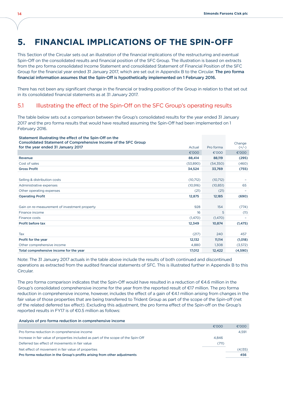# **5. FINANCIAL IMPLICATIONS OF THE Spin-Off**

This Section of the Circular sets out an illustration of the financial implications of the restructuring and eventual Spin-Off on the consolidated results and financial position of the SFC Group. The illustration is based on extracts from the pro forma consolidated Income Statement and consolidated Statement of Financial Position of the SFC Group for the financial year ended 31 January 2017, which are set out in Appendix B to the Circular. The pro forma financial information assumes that the Spin-Off is hypothetically implemented on 1 February 2016.

There has not been any significant change in the financial or trading position of the Group in relation to that set out in its consolidated financial statements as at 31 January 2017.

### 5.1 Illustrating the effect of the Spin-Off on the SFC Group's operating results

The table below sets out a comparison between the Group's consolidated results for the year ended 31 January 2017 and the pro forma results that would have resulted assuming the Spin-Off had been implemented on 1 February 2016.

| Statement illustrating the effect of the Spin-Off on the<br>Consolidated Statement of Comprehensive Income of the SFC Group |           |           |                   |
|-----------------------------------------------------------------------------------------------------------------------------|-----------|-----------|-------------------|
| for the year ended 31 January 2017                                                                                          | Actual    | Pro forma | Change<br>$(+/-)$ |
|                                                                                                                             | €'000     | €'000     | €'000             |
| Revenue                                                                                                                     | 88,414    | 88,119    | (295)             |
| Cost of sales                                                                                                               | (53,890)  | (54,350)  | (460)             |
| <b>Gross Profit</b>                                                                                                         | 34,524    | 33,769    | (755)             |
|                                                                                                                             |           |           |                   |
| Selling & distribution costs                                                                                                | (10, 712) | (10, 712) |                   |
| Administrative expenses                                                                                                     | (10, 916) | (10, 851) | 65                |
| Other operating expenses                                                                                                    | (21)      | (21)      |                   |
| <b>Operating Profit</b>                                                                                                     | 12,875    | 12,185    | (690)             |
|                                                                                                                             |           |           |                   |
| Gain on re-measurement of investment property                                                                               | 928       | 154       | (774)             |
| Finance income                                                                                                              | 16        | 5         | (11)              |
| Finance costs                                                                                                               | (1,470)   | (1,470)   |                   |
| Profit before tax                                                                                                           | 12,349    | 10,874    | (1, 475)          |
|                                                                                                                             |           |           |                   |
| Tax                                                                                                                         | (217)     | 240       | 457               |
| Profit for the year                                                                                                         | 12,132    | 11,114    | (1,018)           |
| Other comprehensive income                                                                                                  | 4,880     | 1,308     | (3,572)           |
| Total comprehensive income for the year                                                                                     | 17,012    | 12,422    | (4,590)           |

Note: The 31 January 2017 actuals in the table above include the results of both continued and discontinued operations as extracted from the audited financial statements of SFC. This is illustrated further in Appendix B to this Circular.

The pro forma comparison indicates that the Spin-Off would have resulted in a reduction of  $\epsilon$ 4.6 million in the Group's consolidated comprehensive income for the year from the reported result of ¤17 million. The pro forma reduction in comprehensive income, however, includes the effect of a gain of  $\epsilon$ 4.1 million arising from changes in the fair value of those properties that are being transferred to Trident Group as part of the scope of the Spin-off (net of the related deferred tax effect). Excluding this adjustment, the pro forma effect of the Spin-off on the Group's reported results in FY17 is of  $E$ 0.5 million as follows:

#### Analysis of pro forma reduction in comprehensive income

|                                                                                    | €'000 | €'000   |
|------------------------------------------------------------------------------------|-------|---------|
| Pro forma reduction in comprehensive income                                        |       | 4,591   |
| Increase in fair value of properties included as part of the scope of the Spin-Off | 4.846 |         |
| Deferred tax effect of movements in fair value                                     | (711) |         |
| Net effect of movement in fair value of properties                                 |       | (4,135) |
| Pro forma reduction in the Group's profits arising from other adjustments          |       | 456     |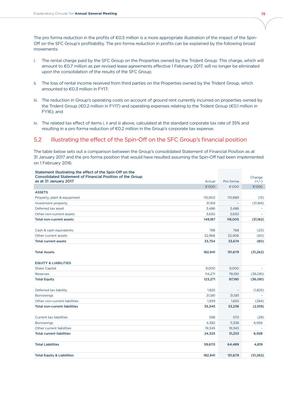The pro forma reduction in the profits of  $\epsilon$ 0.5 million is a more appropriate illustration of the impact of the Spin-Off on the SFC Group's profitability. The pro forma reduction in profits can be explained by the following broad movements:

- i. The rental charge paid by the SFC Group on the Properties owned by the Trident Group. This charge, which will amount to €0.7 million as per revised lease agreements effective 1 February 2017, will no longer be eliminated upon the consolidation of the results of the SFC Group;
- ii. The loss of rental income received from third parties on the Properties owned by the Trident Group, which amounted to  $€0.3$  million in FY17;
- iii. The reduction in Group's operating costs on account of ground rent currently incurred on properties owned by the Trident Group (€0.2 million in FY17) and operating expenses relating to the Trident Group (€0.1 million in FY16); and
- iv. The related tax effect of items i, ii and iii above, calculated at the standard corporate tax rate of 35% and resulting in a pro forma reduction of €0.2 million in the Group's corporate tax expense.

### 5.2 Illustrating the effect of the Spin-Off on the SFC Group's financial position

The table below sets out a comparison between the Group's consolidated Statement of Financial Position as at 31 January 2017 and the pro forma position that would have resulted assuming the Spin-Off had been implemented on 1 February 2016.

| Statement illustrating the effect of the Spin-Off on the<br><b>Consolidated Statement of Financial Position of the Group</b> |         |                          | Change    |
|------------------------------------------------------------------------------------------------------------------------------|---------|--------------------------|-----------|
| as at 31 January 2017                                                                                                        | Actual  | Pro forma                | $(+/-)$   |
|                                                                                                                              | €'000   | €'000                    | €'000     |
| <b>ASSETS</b>                                                                                                                |         |                          |           |
| Property, plant & equipment                                                                                                  | 110,902 | 110,889                  | (13)      |
| Investment property                                                                                                          | 31,169  |                          | (31,169)  |
| Deferred tax asset                                                                                                           | 3,486   | 3,486                    |           |
| Other non-current assets                                                                                                     | 3,630   | 3,630                    |           |
| <b>Total non-current assets</b>                                                                                              | 149,187 | 118,005                  | (31,182)  |
|                                                                                                                              |         |                          |           |
| Cash & cash equivalents                                                                                                      | 788     | 768                      | (20)      |
| Other current assets                                                                                                         | 32,966  | 32,906                   | (60)      |
| <b>Total current assets</b>                                                                                                  | 33,754  | 33,674                   | (80)      |
|                                                                                                                              |         |                          |           |
| <b>Total Assets</b>                                                                                                          | 182,941 | 151,679                  | (31, 262) |
| <b>EQUITY &amp; LIABILITIES</b>                                                                                              |         |                          |           |
| <b>Share Capital</b>                                                                                                         | 9,000   | 9,000                    |           |
| <b>Reserves</b>                                                                                                              | 114,271 | 78,190                   | (36,081)  |
| <b>Total Equity</b>                                                                                                          | 123,271 | 87,190                   | (36,081)  |
| Deferred tax liability                                                                                                       | 1,825   | $\overline{\phantom{a}}$ | (1,825)   |
| <b>Borrowings</b>                                                                                                            | 31,581  | 31,581                   |           |
| Other non-current liabilities                                                                                                | 1,939   | 1,655                    | (284)     |
| <b>Total non-current liabilities</b>                                                                                         | 35,345  | 33,236                   | (2,109)   |
|                                                                                                                              |         |                          |           |
| <b>Current tax liabilities</b>                                                                                               | 598     | 570                      | (28)      |
| <b>Borrowings</b>                                                                                                            | 4,382   | 11,338                   | 6,956     |
| Other current liabilities                                                                                                    | 19,345  | 19,345                   |           |
| <b>Total current liabilities</b>                                                                                             | 24,325  | 31,253                   | 6,928     |
| <b>Total Liabilities</b>                                                                                                     | 59,670  | 64,489                   | 4,819     |
| <b>Total Equity &amp; Liabilities</b>                                                                                        | 182,941 | 151,679                  | (31, 262) |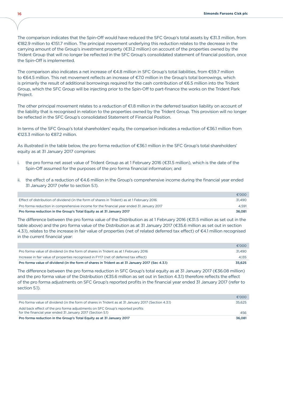The comparison indicates that the Spin-Off would have reduced the SFC Group's total assets by  $\epsilon$ 31.3 million, from ¤182.9 million to ¤151.7 million. The principal movement underlying this reduction relates to the decrease in the carrying amount of the Group's investment property (€31.2 million) on account of the properties owned by the Trident Group that will no longer be reflected in the SFC Group's consolidated statement of financial position, once the Spin-Off is implemented.

The comparison also indicates a net increase of  $\epsilon$ 4.8 million in SFC Group's total liabilities, from  $\epsilon$ 59.7 million to €64.5 million. This net movement reflects an increase of €7.0 million in the Group's total borrowings, which is primarily the result of additional borrowings required for the cash contribution of  $\epsilon$ 6.5 million into the Trident Group, which the SFC Group will be injecting prior to the Spin-Off to part-finance the works on the Trident Park Project.

The other principal movement relates to a reduction of  $E1.8$  million in the deferred taxation liability on account of the liability that is recognised in relation to the properties owned by the Trident Group. This provision will no longer be reflected in the SFC Group's consolidated Statement of Financial Position.

In terms of the SFC Group's total shareholders' equity, the comparison indicates a reduction of  $\epsilon$ 36.1 million from €123.3 million to €87.2 million.

As illustrated in the table below, the pro forma reduction of €36.1 million in the SFC Group's total shareholders' equity as at 31 January 2017 comprises:

- i. the pro forma net asset value of Trident Group as at 1 February 2016 (€31.5 million), which is the date of the Spin-Off assumed for the purposes of the pro forma financial information; and
- ii. the effect of a reduction of  $E4.6$  million in the Group's comprehensive income during the financial year ended 31 January 2017 (refer to section 5.1).

|                                                                                             | €'000  |
|---------------------------------------------------------------------------------------------|--------|
| Effect of distribution of dividend (in the form of shares in Trident) as at 1 February 2016 | 31.490 |
| Pro forma reduction in comprehensive income for the financial year ended 31 January 2017    | 4.591  |
| Pro forma reduction in the Group's Total Equity as at 31 January 2017                       | 36,081 |

The difference between the pro forma value of the Distribution as at 1 February 2016 ( $€31.5$  million as set out in the table above) and the pro forma value of the Distribution as at 31 January 2017 (€35.6 million as set out in section 4.3.1), relates to the increase in fair value of properties (net of related deferred tax effect) of  $\epsilon$ 4.1 million recognised in the current financial year:

|                                                                                                 | €'000  |
|-------------------------------------------------------------------------------------------------|--------|
| Pro forma value of dividend (in the form of shares in Trident as at 1 February 2016             | 31.490 |
| Increase in fair value of properties recognised in FY17 (net of deferred tax effect)            | 4.135  |
| Pro forma value of dividend (in the form of shares in Trident as at 31 January 2017 (Sec 4.3.1) | 35,625 |

The difference between the pro forma reduction in SFC Group's total equity as at 31 January 2017 ( $\epsilon$ 36.08 million) and the pro forma value of the Distribution (€35.6 million as set out in Section 4.3.1) therefore reflects the effect of the pro forma adjustments on SFC Group's reported profits in the financial year ended 31 January 2017 (refer to section 5.1).

|                                                                                                                                            | €'000  |
|--------------------------------------------------------------------------------------------------------------------------------------------|--------|
| Pro forma value of dividend (in the form of shares in Trident as at 31 January 2017 (Section 4.3.1)                                        | 35.625 |
| Add back effect of the pro forma adjustments on SFC Group's reported profits<br>for the financial year ended 31 January 2017 (Section 5.1) | 456    |
| Pro forma reduction in the Group's Total Equity as at 31 January 2017                                                                      | 36,081 |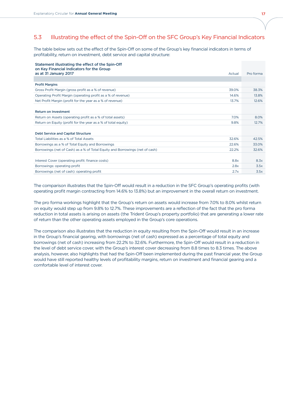## 5.3 Illustrating the effect of the Spin-Off on the SFC Group's Key Financial Indicators

The table below sets out the effect of the Spin-Off on some of the Group's key financial indicators in terms of profitability, return on investment, debt service and capital structure:

#### Statement illustrating the effect of the Spin-Off on Key Financial Indicators for the Group

| as at 31 January 2017<br>Actual                                                       | Pro forma |
|---------------------------------------------------------------------------------------|-----------|
|                                                                                       |           |
| <b>Profit Margins</b>                                                                 |           |
| Gross Profit Margin (gross profit as a % of revenue)<br>39.0%                         | 38.3%     |
| Operating Profit Margin (operating profit as a % of revenue)<br>14.6%                 | 13.8%     |
| Net Profit Margin (profit for the year as a % of revenue)<br>13.7%                    | 12.6%     |
|                                                                                       |           |
| <b>Return on Investment</b>                                                           |           |
| Return on Assets (operating profit as a % of total assets)<br>7.0%                    | 8.0%      |
| Return on Equity (profit for the year as a % of total equity)<br>9.8%                 | 12.7%     |
|                                                                                       |           |
| Debt Service and Capital Structure                                                    |           |
| Total Liabilities as a % of Total Assets<br>32.6%                                     | 42.5%     |
| Borrowings as a % of Total Equity and Borrowings<br>22.6%                             | 33.0%     |
| Borrowings (net of Cash) as a % of Total Equity and Borrowings (net of cash)<br>22.2% | 32.6%     |
|                                                                                       |           |
| 8.8x<br>Interest Cover (operating profit: finance costs)                              | 8.3x      |
| 2.8x<br>Borrowings: operating profit                                                  | 3.5x      |
| Borrowings (net of cash): operating profit<br>2.7x                                    | 3.5x      |

The comparison illustrates that the Spin-Off would result in a reduction in the SFC Group's operating profits (with operating profit margin contracting from 14.6% to 13.8%) but an improvement in the overall return on investment.

The pro forma workings highlight that the Group's return on assets would increase from 7.0% to 8.0% whilst return on equity would step up from 9.8% to 12.7%. These improvements are a reflection of the fact that the pro forma reduction in total assets is arising on assets (the Trident Group's property portfolio) that are generating a lower rate of return than the other operating assets employed in the Group's core operations.

The comparison also illustrates that the reduction in equity resulting from the Spin-Off would result in an increase in the Group's financial gearing, with borrowings (net of cash) expressed as a percentage of total equity and borrowings (net of cash) increasing from 22.2% to 32.6%. Furthermore, the Spin-Off would result in a reduction in the level of debt service cover, with the Group's interest cover decreasing from 8.8 times to 8.3 times. The above analysis, however, also highlights that had the Spin-Off been implemented during the past financial year, the Group would have still reported healthy levels of profitability margins, return on investment and financial gearing and a comfortable level of interest cover.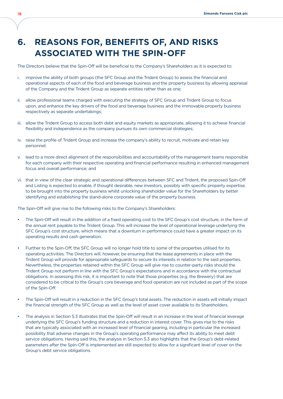# **6. REASONS FOR, BENEFITS OF, AND RISKS ASSOCIATED WITH THE Spin-Off**

The Directors believe that the Spin-Off will be beneficial to the Company's Shareholders as it is expected to:

- i. improve the ability of both groups (the SFC Group and the Trident Group) to assess the financial and operational aspects of each of the food and beverage business and the property business by allowing appraisal of the Company and the Trident Group as separate entities rather than as one;
- ii. allow professional teams charged with executing the strategy of SFC Group and Trident Group to focus upon, and enhance the key drivers of the food and beverage business and the immovable property business respectively as separate undertakings;
- iii. allow the Trident Group to access both debt and equity markets as appropriate, allowing it to achieve financial flexibility and independence as the company pursues its own commercial strategies;
- iv. raise the profile of Trident Group and increase the company's ability to recruit, motivate and retain key personnel;
- v. lead to a more direct alignment of the responsibilities and accountability of the management teams responsible for each company with their respective operating and financial performance resulting in enhanced management focus and overall performance; and
- vi. that in view of the clear strategic and operational differences between SFC and Trident, the proposed Spin-Off and Listing is expected to enable, if thought desirable, new investors, possibly with specific property expertise, to be brought into the property business whilst unlocking shareholder value for the Shareholders by better identifying and establishing the stand-alone corporate value of the property business.

The Spin-Off will give rise to the following risks to the Company's Shareholders:

- The Spin-Off will result in the addition of a fixed operating cost to the SFC Group's cost structure, in the form of the annual rent payable to the Trident Group. This will increase the level of operational leverage underlying the SFC Group's cost structure, which means that a downturn in performance could have a greater impact on its operating results and cash generation.
- Further to the Spin-Off, the SFC Group will no longer hold title to some of the properties utilised for its operating activities. The Directors will, however, be ensuring that the lease agreements in place with the Trident Group will provide for appropriate safeguards to secure its interests in relation to the said properties. Nevertheless, the properties retained within the SFC Group will give rise to counter-party risks should the Trident Group not perform in line with the SFC Group's expectations and in accordance with the contractual obligations. In assessing this risk, it is important to note that those properties (e.g. the Brewery) that are considered to be critical to the Group's core beverage and food operation are not included as part of the scope of the Spin-Off.
- The Spin-Off will result in a reduction in the SFC Group's total assets. The reduction in assets will initially impact the financial strength of the SFC Group as well as the level of asset cover available to its Shareholders.
- The analysis in Section 5.3 illustrates that the Spin-Off will result in an increase in the level of financial leverage underlying the SFC Group's funding structure and a reduction in interest cover. This gives rise to the risks that are typically associated with an increased level of financial gearing, including in particular the increased possibility that adverse changes in the Group's operating performance may affect its ability to meet debt service obligations. Having said this, the analysis in Section 5.3 also highlights that the Group's debt-related parameters after the Spin-Off is implemented are still expected to allow for a significant level of cover on the Group's debt service obligations.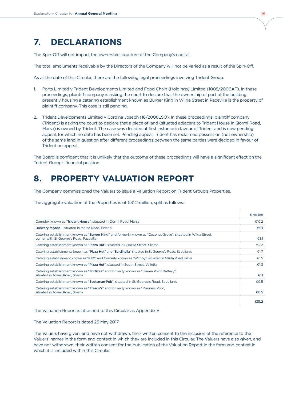## **7. DECLARATIONS**

The Spin-Off will not impact the ownership structure of the Company's capital.

The total emoluments receivable by the Directors of the Company will not be varied as a result of the Spin-Off.

As at the date of this Circular, there are the following legal proceedings involving Trident Group:

- 1. Ports Limited v Trident Developments Limited and Food Chain (Holdings) Limited (1008/2006AF). In these proceedings, plaintiff company is asking the court to declare that the ownership of part of the building presently housing a catering establishment known as Burger King in Wilga Street in Paceville is the property of plaintiff company. This case is still pending.
- 2. Trident Developments Limited v Cordina Joseph (16/2006LSO). In these proceedings, plaintiff company (Trident) is asking the court to declare that a piece of land (situated adjacent to Trident House in Qormi Road, Marsa) is owned by Trident. The case was decided at first instance in favour of Trident and is now pending appeal, for which no date has been set. Pending appeal, Trident has reclaimed possession (not ownership) of the same land in question after different proceedings between the same parties were decided in favour of Trident on appeal.

The Board is confident that it is unlikely that the outcome of these proceedings will have a significant effect on the Trident Group's financial position.

## **8. PROPERTY VALUATION REPORT**

The Company commissioned the Valuers to issue a Valuation Report on Trident Group's Properties.

The aggregate valuation of the Properties is of  $E$ 31.2 million, split as follows:

|                                                                                                                                                           | $\epsilon$ million |
|-----------------------------------------------------------------------------------------------------------------------------------------------------------|--------------------|
| Complex known as "Trident House", situated in Qormi Road, Marsa                                                                                           | €10.2              |
| Brewery façade - situated in Mdina Road, Mriehel                                                                                                          | €9.1               |
| Catering establishment known as "Burger King" and formerly known as "Coconut Grove", situated in Wilga Street,<br>corner with St George's Road, Paceville | E3.1               |
| Catering establishment known as "Pizza Hut", situated in Bisazza Street, Sliema                                                                           | €2.2               |
| Catering establishments known as "Pizza Hut" and "Sardinella" situated in St George's Road, St Julian's                                                   | €1.7               |
| Catering establishment known as "KFC" and formerly known as "Wimpy", situated in Msida Road, Gzira                                                        | €1.5               |
| Catering establishment known as "Pizza Hut", situated in South Street, Valletta                                                                           | €1.3               |
| Catering establishment known as "Fortizza" and formerly known as "Sliema Point Battery",<br>situated in Tower Road, Sliema                                | €1.1               |
| Catering establishment known as "Scotsman Pub", situated in St. George's Road, St Julian's                                                                | €0.5               |
| Catering establishment known as "Fresco's" and formerly known as "Mariners Pub",<br>situated in Tower Road, Sliema                                        | €0.5               |
|                                                                                                                                                           | €31.2              |

The Valuation Report is attached to this Circular as Appendix E.

The Valuation Report is dated 25 May 2017.

The Valuers have given, and have not withdrawn, their written consent to the inclusion of the reference to the Valuers' names in the form and context in which they are included in this Circular. The Valuers have also given, and have not withdrawn, their written consent for the publication of the Valuation Report in the form and context in which it is included within this Circular.

 $\overline{\phantom{a}}$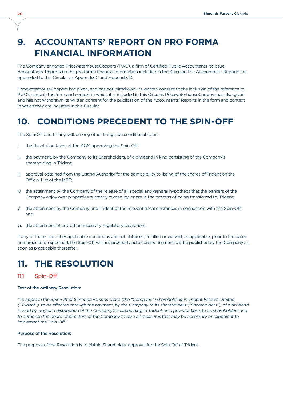# **9. ACCOUNTANTS' REPORT ON PRO FORMA FINANCIAL INFORMATION**

The Company engaged PricewaterhouseCoopers (PwC), a firm of Certified Public Accountants, to issue Accountants' Reports on the pro forma financial information included in this Circular. The Accountants' Reports are appended to this Circular as Appendix C and Appendix D.

PricewaterhouseCoopers has given, and has not withdrawn, its written consent to the inclusion of the reference to PwC's name in the form and context in which it is included in this Circular. PricewaterhouseCoopers has also given and has not withdrawn its written consent for the publication of the Accountants' Reports in the form and context in which they are included in this Circular.

# **10. CONDITIONS PRECEDENT TO THE Spin-Off**

The Spin-Off and Listing will, among other things, be conditional upon:

- i. the Resolution taken at the AGM approving the Spin-Off;
- ii. the payment, by the Company to its Shareholders, of a dividend in kind consisting of the Company's shareholding in Trident;
- iii. approval obtained from the Listing Authority for the admissibility to listing of the shares of Trident on the Official List of the MSE;
- iv. the attainment by the Company of the release of all special and general hypothecs that the bankers of the Company enjoy over properties currently owned by, or are in the process of being transferred to, Trident;
- the attainment by the Company and Trident of the relevant fiscal clearances in connection with the Spin-Off; and
- vi. the attainment of any other necessary regulatory clearances.

If any of these and other applicable conditions are not obtained, fulfilled or waived, as applicable, prior to the dates and times to be specified, the Spin-Off will not proceed and an announcement will be published by the Company as soon as practicable thereafter.

## **11. THE RESOLUTION**

#### 11.1 Spin-Off

#### Text of the ordinary Resolution:

"To approve the Spin-Off of Simonds Farsons Cisk's (the "Company") shareholding in Trident Estates Limited ("Trident"), to be effected through the payment, by the Company to its shareholders ("Shareholders"), of a dividend in kind by way of a distribution of the Company's shareholding in Trident on a pro-rata basis to its shareholders and to authorise the board of directors of the Company to take all measures that may be necessary or expedient to implement the Spin-Off."

#### Purpose of the Resolution:

The purpose of the Resolution is to obtain Shareholder approval for the Spin-Off of Trident.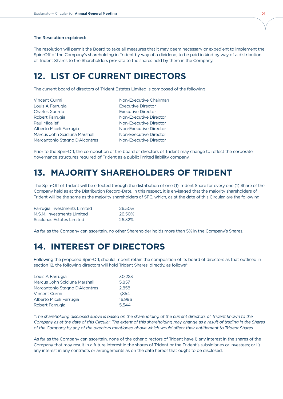#### The Resolution explained:

The resolution will permit the Board to take all measures that it may deem necessary or expedient to implement the Spin-Off of the Company's shareholding in Trident by way of a dividend, to be paid in kind by way of a distribution of Trident Shares to the Shareholders pro-rata to the shares held by them in the Company.

## **12. LIST OF CURRENT DIRECTORS**

The current board of directors of Trident Estates Limited is composed of the following:

| Non-Executive Chairman    |
|---------------------------|
| <b>Executive Director</b> |
| <b>Executive Director</b> |
| Non-Executive Director    |
| Non-Executive Director    |
| Non-Executive Director    |
| Non-Executive Director    |
| Non-Executive Director    |
|                           |

Prior to the Spin-Off, the composition of the board of directors of Trident may change to reflect the corporate governance structures required of Trident as a public limited liability company.

## **13. MAJORITY SHAREHOLDERS OF TRIDENT**

The Spin-Off of Trident will be effected through the distribution of one (1) Trident Share for every one (1) Share of the Company held as at the Distribution Record-Date. In this respect, it is envisaged that the majority shareholders of Trident will be the same as the majority shareholders of SFC, which, as at the date of this Circular, are the following:

| Farrugia Investments Limited | 26.50% |
|------------------------------|--------|
| M.S.M. Investments Limited   | 26.50% |
| Sciclunas Estates Limited    | 26.32% |

As far as the Company can ascertain, no other Shareholder holds more than 5% in the Company's Shares.

## **14. INTEREST OF DIRECTORS**

Following the proposed Spin-Off, should Trident retain the composition of its board of directors as that outlined in section 12, the following directors will hold Trident Shares, directly, as follows\*:

| Louis A Farrugia               | 30.223 |
|--------------------------------|--------|
| Marcus John Scicluna Marshall  | 5.857  |
| Marcantonio Stagno D'Alcontres | 2.858  |
| Vincent Curmi                  | 7.854  |
| Alberto Miceli Farrugia        | 16.996 |
| Robert Farrugia                | 5.544  |

\*The shareholding disclosed above is based on the shareholding of the current directors of Trident known to the Company as at the date of this Circular. The extent of this shareholding may change as a result of trading in the Shares of the Company by any of the directors mentioned above which would affect their entitlement to Trident Shares.

As far as the Company can ascertain, none of the other directors of Trident have i) any interest in the shares of the Company that may result in a future interest in the shares of Trident or the Trident's subsidiaries or investees; or ii) any interest in any contracts or arrangements as on the date hereof that ought to be disclosed.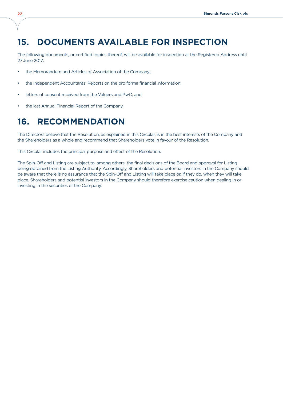## **15. DOCUMENTS AVAILABLE FOR INSPECTION**

The following documents, or certified copies thereof, will be available for inspection at the Registered Address until 27June 2017:

- the Memorandum and Articles of Association of the Company;
- the Independent Accountants' Reports on the pro forma financial information;
- letters of consent received from the Valuers and PwC; and
- the last Annual Financial Report of the Company.

## **16. RECOMMENDATION**

The Directors believe that the Resolution, as explained in this Circular, is in the best interests of the Company and the Shareholders as a whole and recommend that Shareholders vote in favour of the Resolution.

This Circular includes the principal purpose and effect of the Resolution.

The Spin-Off and Listing are subject to, among others, the final decisions of the Board and approval for Listing being obtained from the Listing Authority. Accordingly, Shareholders and potential investors in the Company should be aware that there is no assurance that the Spin-Off and Listing will take place or, if they do, when they will take place. Shareholders and potential investors in the Company should therefore exercise caution when dealing in or investing in the securities of the Company.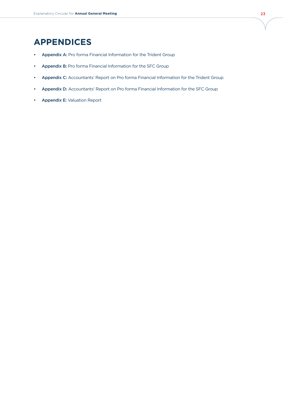# **Appendices**

- Appendix A: Pro forma Financial Information for the Trident Group
- • Appendix B: Pro forma Financial Information for the SFC Group
- Appendix C: Accountants' Report on Pro forma Financial Information for the Trident Group
- Appendix D: Accountants' Report on Pro forma Financial Information for the SFC Group
- • Appendix E: Valuation Report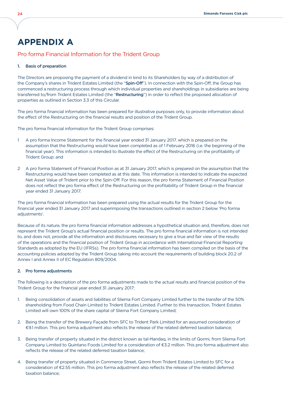## **Appendix A**

### Pro forma Financial Information for the Trident Group

#### 1. Basis of preparation

The Directors are proposing the payment of a dividend in kind to its Shareholders by way of a distribution of the Company's shares in Trident Estates Limited (the "Spin-Off"). In connection with the Spin-Off, the Group has commenced a restructuring process through which individual properties and shareholdings in subsidiaries are being transferred to/from Trident Estates Limited (the "Restructuring") in order to reflect the proposed allocation of properties as outlined in Section 3.3 of this Circular.

The pro forma financial information has been prepared for illustrative purposes only, to provide information about the effect of the Restructuring on the financial results and position of the Trident Group.

The pro forma financial information for the Trident Group comprises:

- 1 A pro forma lncome Statement for the financial year ended 31 January 2017. which is prepared on the assumption that the Restructuring would have been completed as of 1 February 2016 (i.e. the beginning of the financial year). This information is intended to illustrate the effect of the Restructuring on the profitability of Trident Group: and
- 2 A pro forma Statement of Financial Position as at 31 January 2017, which is prepared on the assumption that the Restructuring would have been completed as at this date. This information is intended to indicate the expected Net Asset Value of Trident prior to the Spin-Off. For this reason, the pro forma Statement of Financial Position does not reflect the pro forma effect of the Restructuring on the profitability of Trident Group in the financial year ended 31 January 2017.

The pro forma financial information has been prepared using the actual results for the Trident Group for the financial year ended 31 January 2017 and superimposing the transactions outlined in section 2 below 'Pro forma adjustments'.

Because of its nature, the pro forma financial information addresses a hypothetical situation and, therefore, does not represent the Trident Group's actual financial position or results. The pro forma financial information is not intended to, and does not, provide all the information and disclosures necessary to give a true and fair view of the results of the operations and the financial position of Trident Group in accordance with International Financial Reporting Standards as adopted by the EU (IFRSs). The pro forma financial information has been compiled on the basis of the accounting policies adopted by the Trident Group taking into account the requirements of building block 20.2 of Annex I and Annex II of EC Regulation 809/2004.

#### 2. Pro forma adjustments

The following is a description of the pro forma adjustments made to the actual results and financial position of the Trident Group for the financial year ended 31 January 2017:

- 1. Being consolidation of assets and liabilities of Sliema Fort Company Limited further to the transfer of the 50% shareholding from Food Chain Limited to Trident Estates Limited. Further to this transaction, Trident Estates Limited will own 100% of the share capital of Sliema Fort Company Limited;
- 2. Being the transfer of the Brewery Façade from SFC to Trident Park Limited for an assumed consideration of ¤9.1 million. This pro forma adjustment also reflects the release of the related deferred taxation balance;
- 3. Being transfer of property situated in the district known as tal-Ħandaq, in the limits of Qormi, from Sliema Fort Company Limited to Quintano Foods Limited for a consideration of €3.2 million. This pro forma adjustment also reflects the release of the related deferred taxation balance;
- 4. Being transfer of property situated in Commerce Street, Qormi from Trident Estates Limited to SFC for a consideration of €2.55 million. This pro forma adjustment also reflects the release of the related deferred taxation balance;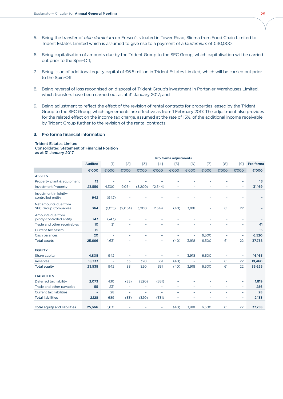- 5. Being the transfer of utile dominium on Fresco's situated in Tower Road, Sliema from Food Chain Limited to Trident Estates Limited which is assumed to give rise to a payment of a laudemium of  $€40,000;$
- 6. Being capitalisation of amounts due by the Trident Group to the SFC Group, which capitalisation will be carried out prior to the Spin-Off;
- 7. Being issue of additional equity capital of €6.5 million in Trident Estates Limited, which will be carried out prior to the Spin-Off;
- 8. Being reversal of loss recognised on disposal of Trident Group's investment in Portanier Warehouses Limited, which transfers have been carried out as at 31 January 2017; and
- 9. Being adjustment to reflect the effect of the revision of rental contracts for properties leased by the Trident Group to the SFC Group, which agreements are effective as from 1 February 2017. The adjustment also provides for the related effect on the income tax charge, assumed at the rate of 15%, of the additional income receivable by Trident Group further to the revision of the rental contracts.

#### 3. Pro forma financial information

#### Trident Estates Limited

#### Consolidated Statement of Financial Position as at 31 January 2017

|                                                    | Pro forma adjustments |                          |                          |                          |                          |                          |                          |                          |                          |                              |           |  |
|----------------------------------------------------|-----------------------|--------------------------|--------------------------|--------------------------|--------------------------|--------------------------|--------------------------|--------------------------|--------------------------|------------------------------|-----------|--|
|                                                    | <b>Audited</b>        | $[1]$                    | [2]                      | $[3]$                    | [4]                      | [5]                      | [6]                      | $[7]$                    | [8]                      | [9]                          | Pro forma |  |
|                                                    | €'000                 | €'000                    | €'000                    | €'000                    | €'000                    | €'000                    | €'000                    | €'000                    | €'000                    | €'000                        | €'000     |  |
| <b>ASSETS</b>                                      |                       |                          |                          |                          |                          |                          |                          |                          |                          |                              |           |  |
| Property, plant & equipment                        | 13                    |                          |                          |                          |                          |                          |                          |                          |                          | $\overline{\phantom{0}}$     | 13        |  |
| <b>Investment Property</b>                         | 23,559                | 4,300                    | 9,054                    | (3,200)                  | (2,544)                  | ۰                        | -                        | -                        | $\overline{\phantom{m}}$ | $\qquad \qquad -$            | 31,169    |  |
| Investment in jointly-<br>controlled entity        | 942                   | (942)                    |                          |                          | $\overline{\phantom{0}}$ |                          |                          |                          |                          | $\overline{\phantom{0}}$     |           |  |
| Net amounts due from<br><b>SFC Group Companies</b> | 364                   | (1,015)                  | (9,054)                  | 3,200                    | 2,544                    | (40)                     | 3,918                    |                          | 61                       | 22                           |           |  |
| Amounts due from<br>jointly-controlled entity      | 743                   | (743)                    | $\qquad \qquad -$        |                          | $\overline{a}$           |                          |                          |                          | $\overline{a}$           | $\overline{\phantom{0}}$     |           |  |
| Trade and other receivables                        | 10 <sup>10</sup>      | 31                       | $\overline{\phantom{a}}$ | $\overline{\phantom{a}}$ | $\overline{\phantom{0}}$ | $\overline{\phantom{0}}$ | $\overline{\phantom{0}}$ | $\overline{a}$           | $\overline{\phantom{0}}$ | $\overline{\phantom{0}}$     | 41        |  |
| Current tax assets                                 | 15                    | $\overline{\phantom{a}}$ | $\overline{\phantom{a}}$ | $\overline{\phantom{a}}$ | $\qquad \qquad -$        | $\qquad \qquad -$        | ÷                        | $\overline{\phantom{0}}$ | -                        | $\overline{\phantom{a}}$     | 15        |  |
| Cash balances                                      | 20                    | $\overline{\phantom{a}}$ | $\overline{\phantom{a}}$ | $\qquad \qquad -$        | $\qquad \qquad -$        | ÷,                       | -                        | 6,500                    | $\qquad \qquad -$        | $\overline{\phantom{a}}$     | 6,520     |  |
| <b>Total assets</b>                                | 25,666                | 1,631                    | $\overline{\phantom{0}}$ | $\overline{a}$           | $\overline{\phantom{0}}$ | (40)                     | 3,918                    | 6,500                    | 61                       | 22                           | 37,758    |  |
| <b>EQUITY</b>                                      |                       |                          |                          |                          |                          |                          |                          |                          |                          |                              |           |  |
| Share capital                                      | 4,805                 | 942                      |                          |                          |                          | ÷,                       | 3,918                    | 6,500                    |                          | $\overline{a}$               | 16,165    |  |
| Reserves                                           | 18,733                | $\overline{\phantom{a}}$ | 33                       | 320                      | 331                      | (40)                     | $\qquad \qquad -$        | $\overline{\phantom{0}}$ | 61                       | 22                           | 19,460    |  |
| <b>Total equity</b>                                | 23,538                | 942                      | 33                       | 320                      | 331                      | (40)                     | 3,918                    | 6,500                    | 61                       | 22                           | 35,625    |  |
| <b>LIABILITIES</b>                                 |                       |                          |                          |                          |                          |                          |                          |                          |                          |                              |           |  |
| Deferred tax liability                             | 2,073                 | 430                      | (33)                     | (320)                    | (331)                    | ÷,                       |                          | $\overline{\phantom{0}}$ | -                        | $\qquad \qquad \blacksquare$ | 1,819     |  |
| Trade and other payables                           | 55                    | 231                      | $\overline{\phantom{a}}$ | $\overline{\phantom{0}}$ | $\overline{\phantom{0}}$ | $\overline{\phantom{0}}$ | $\overline{\phantom{0}}$ | $\overline{\phantom{0}}$ | ÷,                       | $\overline{\phantom{a}}$     | 286       |  |
| <b>Current tax liabilities</b>                     | ۰                     | 28                       | $\qquad \qquad -$        | $\overline{\phantom{0}}$ | $\overline{\phantom{0}}$ | $\overline{a}$           |                          | $\overline{a}$           | $\overline{\phantom{0}}$ | $\overline{\phantom{0}}$     | 28        |  |
| <b>Total liabilities</b>                           | 2,128                 | 689                      | (33)                     | (320)                    | (331)                    | -                        | -                        | $\overline{\phantom{0}}$ | $\overline{\phantom{a}}$ | $\overline{\phantom{a}}$     | 2,133     |  |
| <b>Total equity and liabilities</b>                | 25,666                | 1.631                    |                          |                          |                          | (40)                     | 3,918                    | 6,500                    | 61                       | 22                           | 37,758    |  |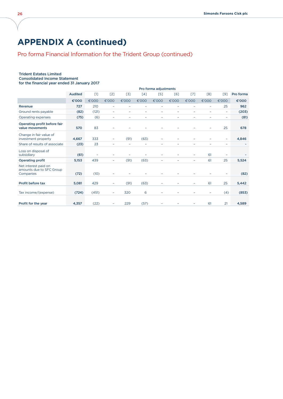# **Appendix A (continued)**

## Pro forma Financial Information for the Trident Group (continued)

#### Trident Estates Limited Consolidated Income Statement

for the financial year ended 31 January 2017

|                                                               |                |       |                          |                          |                          | Pro forma adjustments    |                          |                          |                          |                          |           |
|---------------------------------------------------------------|----------------|-------|--------------------------|--------------------------|--------------------------|--------------------------|--------------------------|--------------------------|--------------------------|--------------------------|-----------|
|                                                               | <b>Audited</b> | [1]   | [2]                      | $[3]$                    | $\lceil 4 \rceil$        | [5]                      | [6]                      | [7]                      | [8]                      | $[9]$                    | Pro forma |
|                                                               | €'000          | €'000 | €'000                    | €'000                    | €'000                    | €'000                    | €'000                    | €'000                    | €'000                    | €'000                    | €'000     |
| Revenue                                                       | 727            | 210   | $\overline{\phantom{a}}$ | $\overline{\phantom{a}}$ | $\overline{\phantom{0}}$ | $\overline{\phantom{0}}$ | $\overline{\phantom{0}}$ | $\overline{\phantom{0}}$ | $\overline{\phantom{a}}$ | 25                       | 962       |
| Ground rents payable                                          | (82)           | (121) | $\overline{\phantom{a}}$ | $\overline{\phantom{a}}$ | $\overline{a}$           | $\overline{\phantom{0}}$ | $\overline{\phantom{0}}$ | $\overline{a}$           | -                        | $\overline{\phantom{a}}$ | (203)     |
| Operating expenses                                            | (75)           | (6)   |                          |                          |                          |                          |                          |                          |                          | $\overline{\phantom{0}}$ | (81)      |
| Operating profit before fair<br>value movements               | 570            | 83    |                          |                          |                          |                          |                          |                          |                          | 25                       | 678       |
| Change in fair value of<br>investment property                | 4,667          | 333   |                          | (91)                     | (63)                     |                          |                          |                          |                          | ۰                        | 4,846     |
| Share of results of associate                                 | (23)           | 23    | $\overline{\phantom{0}}$ | $\overline{\phantom{0}}$ | $\overline{\phantom{a}}$ |                          |                          |                          |                          | $\overline{\phantom{0}}$ |           |
| Loss on disposal of<br>subsidiary                             | (61)           |       |                          |                          |                          | Ξ                        |                          | -                        | 61                       | $\overline{\phantom{a}}$ |           |
| <b>Operating profit</b>                                       | 5,153          | 439   | $\overline{\phantom{a}}$ | (91)                     | (63)                     | $\overline{\phantom{0}}$ |                          | $\overline{\phantom{0}}$ | 61                       | 25                       | 5,524     |
| Net interest paid on<br>amounts due to SFC Group<br>Companies | (72)           | (10)  |                          |                          |                          |                          |                          |                          |                          |                          | (82)      |
| Profit before tax                                             | 5,081          | 429   |                          | (91)                     | (63)                     |                          |                          |                          | 61                       | 25                       | 5,442     |
| Tax income/(expense)                                          | (724)          | (451) | $\overline{\phantom{0}}$ | 320                      | 6                        |                          |                          |                          | $\overline{\phantom{0}}$ | (4)                      | (853)     |
| Profit for the year                                           | 4,357          | (22)  |                          | 229                      | (57)                     |                          |                          |                          | 61                       | 21                       | 4,589     |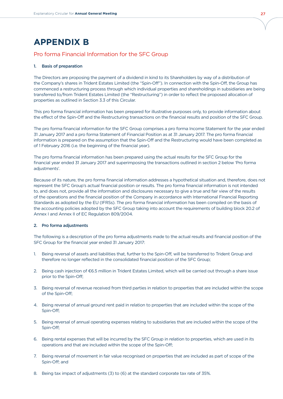# **Appendix B**

## Pro forma Financial Information for the SFC Group

#### 1. Basis of preparation

The Directors are proposing the payment of a dividend in kind to its Shareholders by way of a distribution of the Company's shares in Trident Estates Limited (the "Spin-Off"). In connection with the Spin-Off, the Group has commenced a restructuring process through which individual properties and shareholdings in subsidiaries are being transferred to/from Trident Estates Limited (the "Restructuring") in order to reflect the proposed allocation of properties as outlined in Section 3.3 of this Circular.

This pro forma financial information has been prepared for illustrative purposes only, to provide information about the effect of the Spin-Off and the Restructuring transactions on the financial results and position of the SFC Group.

The pro forma financial information for the SFC Group comprises a pro forma Income Statement for the year ended 31 January 2017 and a pro forma Statement of Financial Position as at 31 January 2017. The pro forma financial information is prepared on the assumption that the Spin-Off and the Restructuring would have been completed as of 1 February 2016 (i.e. the beginning of the financial year).

The pro forma financial information has been prepared using the actual results for the SFC Group for the financial year ended 31 January 2017 and superimposing the transactions outlined in section 2 below 'Pro forma adjustments'.

Because of its nature, the pro forma financial information addresses a hypothetical situation and, therefore, does not represent the SFC Group's actual financial position or results. The pro forma financial information is not intended to, and does not, provide all the information and disclosures necessary to give a true and fair view of the results of the operations and the financial position of the Company in accordance with International Financial Reporting Standards as adopted by the EU (IFRSs). The pro forma financial information has been compiled on the basis of the accounting policies adopted by the SFC Group taking into account the requirements of building block 20.2 of Annex I and Annex II of EC Regulation 809/2004.

#### 2. Pro forma adjustments

The following is a description of the pro forma adjustments made to the actual results and financial position of the SFC Group for the financial year ended 31 January 2017:

- 1. Being reversal of assets and liabilities that, further to the Spin-Off, will be transferred to Trident Group and therefore no longer reflected in the consolidated financial position of the SFC Group;
- 2. Being cash injection of €6.5 million in Trident Estates Limited, which will be carried out through a share issue prior to the Spin-Off;
- 3. Being reversal of revenue received from third parties in relation to properties that are included within the scope of the Spin-Off;
- 4. Being reversal of annual ground rent paid in relation to properties that are included within the scope of the Spin-Off;
- 5. Being reversal of annual operating expenses relating to subsidiaries that are included within the scope of the Spin-Off;
- 6. Being rental expenses that will be incurred by the SFC Group in relation to properties, which are used in its operations and that are included within the scope of the Spin-Off;
- 7. Being reversal of movement in fair value recognised on properties that are included as part of scope of the Spin-Off; and
- 8. Being tax impact of adjustments (3) to (6) at the standard corporate tax rate of 35%.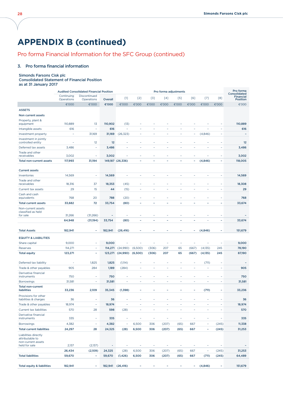# **Appendix B (continued)**

## Pro forma Financial Information for the SFC Group (continued)

#### 3. Pro forma financial information

#### Simonds Farsons Cisk plc

#### Consolidated Statement of Financial Position as at 31 January 2017

|                                                               | <b>Audited Consolidated Financial Position</b> |                            |                  |                                  |                                   | Pro forma adjustments           |                                   |                                  |                          |                          |                              |                                              |
|---------------------------------------------------------------|------------------------------------------------|----------------------------|------------------|----------------------------------|-----------------------------------|---------------------------------|-----------------------------------|----------------------------------|--------------------------|--------------------------|------------------------------|----------------------------------------------|
|                                                               | Continuing<br>Operations                       | Discontinued<br>Operations | Overall          | $[1]$                            | $[2]$                             | $[3]$                           | $[4]$                             | $[5]$                            | [6]                      | $[7]$                    | [8]                          | Consolidated<br><b>Financial</b><br>Position |
|                                                               | €'000                                          | €'000                      | €'000            | €'000                            | €'000                             | €'000                           | €'000                             | €'000                            | €'000                    | €'000                    | €'000                        | €'000                                        |
| <b>ASSETS</b>                                                 |                                                |                            |                  |                                  |                                   |                                 |                                   |                                  |                          |                          |                              |                                              |
| Non current assets                                            |                                                |                            |                  |                                  |                                   |                                 |                                   |                                  |                          |                          |                              |                                              |
| Property, plant &<br>equipment                                | 110,889                                        | 13                         | 110,902          | (13)                             | $\overline{\phantom{a}}$          | -                               |                                   |                                  |                          |                          | $\overline{\phantom{a}}$     | 110,889                                      |
| Intangible assets                                             | 616                                            | $\overline{\phantom{a}}$   | 616              | $\overline{a}$                   | ٠                                 | $\overline{a}$                  | $\overline{a}$                    | ÷,                               | $\overline{a}$           | L,                       | $\overline{a}$               | 616                                          |
| Investment property                                           | $\overline{\phantom{a}}$                       | 31,169                     | 31,169           | (26, 323)                        | $\overline{\phantom{a}}$          | ٠                               | $\overline{\phantom{a}}$          | $\overline{\phantom{a}}$         | ۰                        | (4,846)                  | $\overline{\phantom{0}}$     | $\overline{\phantom{a}}$                     |
| Investment in jointly<br>controlled entity                    | ÷                                              | 12                         | 12               | $\overline{a}$                   | $\overline{a}$                    | $\overline{a}$                  | ٠                                 | -                                |                          | -                        | $\overline{\phantom{a}}$     | 12                                           |
| Deferred tax assets                                           | 3,486                                          | ۰                          | 3,486            | ٠                                | ۰                                 | $\overline{a}$                  | ۰                                 | L.                               |                          | ÷                        | $\overline{a}$               | 3,486                                        |
| Trade and other                                               |                                                |                            |                  |                                  |                                   |                                 |                                   |                                  |                          |                          |                              |                                              |
| receivables                                                   | 3,002                                          | ۰                          | 3,002            | ٠<br>149,187 (26,336)            | ۰                                 | -<br>٠                          | ٠<br>۰                            | $\overline{a}$                   | ۰                        | (4,846)                  | -<br>÷.                      | 3,002                                        |
| <b>Total non-current assets</b>                               | 117,993                                        | 31,194                     |                  |                                  |                                   |                                 |                                   |                                  |                          |                          |                              | 118,005                                      |
| <b>Current assets</b>                                         |                                                |                            |                  |                                  |                                   |                                 |                                   |                                  |                          |                          |                              |                                              |
| Inventories                                                   | 14,569                                         | $\overline{\phantom{a}}$   | 14,569           | $\overline{a}$                   | ÷,                                | ÷,                              | ٠                                 | ٠                                | ÷,                       | $\overline{\phantom{a}}$ | $\overline{\phantom{a}}$     | 14,569                                       |
| Trade and other<br>receivables                                | 18,316                                         | 37                         | 18,353           | (45)                             | ٠                                 | $\overline{a}$                  | ÷.                                | L.                               | ۰                        | ٠                        | $\overline{a}$               | 18,308                                       |
| Current tax assets                                            | 29                                             | 15                         | 44               | (15)                             | $\overline{a}$                    | $\bar{ }$                       | $\bar{ }$                         | $\overline{\phantom{a}}$         | L,                       | $\overline{\phantom{a}}$ | $\bar{ }$                    | 29                                           |
| Cash and cash<br>equivalents                                  | 768                                            | 20                         | 788              | (20)                             | $\overline{a}$                    | ۰                               | ۰                                 |                                  |                          | ٠                        | $\qquad \qquad$              | 768                                          |
| <b>Total current assets</b>                                   | 33,682                                         | 72                         | 33,754           | (80)                             | ÷                                 | ۰                               | ٠                                 | ٠                                | ٠                        | ۰                        | ۰                            | 33,674                                       |
| Non-current assets<br>classified as held                      |                                                |                            |                  |                                  |                                   |                                 |                                   |                                  |                          |                          |                              |                                              |
| for sale                                                      | 31,266                                         | (31, 266)                  |                  |                                  |                                   |                                 |                                   |                                  |                          |                          |                              |                                              |
|                                                               | 64,948                                         | (31, 194)                  | 33,754           | (80)                             | $\overline{\phantom{a}}$          | ۰                               | ۰                                 | $\overline{\phantom{a}}$         | ÷                        | $\overline{\phantom{a}}$ | ۰                            | 33,674                                       |
| <b>Total Assets</b>                                           | 182,941                                        | ۰                          | 182,941          | (26, 416)                        |                                   |                                 |                                   |                                  | ۰                        | (4,846)                  | ۰                            | 151,679                                      |
| <b>EQUITY &amp; LIABILITIES</b>                               |                                                |                            |                  |                                  |                                   |                                 |                                   |                                  |                          |                          |                              |                                              |
| Share capital                                                 | 9,000                                          | ۰                          | 9,000            | $\overline{\phantom{a}}$         | $\overline{\phantom{a}}$          | ÷                               | ÷                                 | ٠                                | ÷                        | $\overline{\phantom{a}}$ | $\overline{a}$               | 9,000                                        |
| Reserves                                                      | 114,271                                        | $\overline{\phantom{a}}$   |                  | 114,271 (24,990)                 | (6,500)                           | (306)                           | 207                               | 65                               | (667)                    | (4, 135)                 | 245                          | 78,190                                       |
| <b>Total equity</b>                                           | 123,271                                        | ۰                          |                  | 123,271 (24,990)                 | (6,500)                           | (306)                           | 207                               | 65                               | (667)                    | (4, 135)                 | 245                          | 87,190                                       |
|                                                               |                                                |                            |                  |                                  |                                   |                                 |                                   |                                  |                          |                          |                              |                                              |
| Deferred tax liability                                        | ٠                                              | 1,825                      | 1,825            | (1, 114)                         | ٠                                 | $\qquad \qquad \blacksquare$    | $\overline{\phantom{a}}$<br>٠     | ÷<br>L,                          | ۰<br>÷,                  | (711)<br>L.              | $\qquad \qquad \blacksquare$ |                                              |
| Trade & other payables<br>Derivative financial                | 905                                            | 284                        | 1,189            | (284)                            | $\overline{\phantom{a}}$          | $\bar{ }$                       |                                   |                                  |                          |                          | ÷,                           | 905                                          |
| instruments                                                   | 750                                            | $\overline{\phantom{0}}$   | 750              | $\overline{a}$                   | ÷                                 | ÷                               | ÷                                 | $\overline{a}$                   | $\overline{a}$           | ÷                        | $\overline{a}$               | 750                                          |
| <b>Borrowings</b><br><b>Total non-current</b>                 | 31,581                                         | $\overline{\phantom{a}}$   | 31,581           | $\overline{a}$                   | $\overline{\phantom{a}}$          | $\bar{a}$                       | $\overline{\phantom{a}}$          | $\overline{a}$                   | $\overline{\phantom{a}}$ | ÷                        | ٠                            | 31,581                                       |
| liabilities                                                   | 33,236                                         | 2,109                      | 35,345           | (1,398)                          | ٠                                 | ۰                               | ٠                                 | ۰                                | ۰                        | (711)                    | ۰                            | 33,236                                       |
| Provisions for other<br>liabilities & charges                 | 36                                             | ۰                          | 36               |                                  |                                   |                                 |                                   |                                  |                          |                          |                              | 36                                           |
| Trade & other payables                                        | 18,974                                         | ۰                          | 18,974           | $\overline{\phantom{a}}$         | $\overline{a}$                    | ۰                               | ٠                                 | ٠                                |                          | $\overline{a}$           | ۰                            | 18,974                                       |
| Current tax liabilities                                       | 570                                            | 28                         | 598              | (28)                             | $\overline{\phantom{a}}$          | ۰                               | ٠                                 | $\overline{\phantom{a}}$         | ۰                        | $\overline{\phantom{a}}$ | ۰                            | 570                                          |
| Derivative financial<br>instruments                           | 335                                            | $\overline{\phantom{a}}$   | 335              | $\overline{\phantom{a}}$         | $\overline{\phantom{a}}$          | $\overline{\phantom{a}}$        | $\overline{\phantom{a}}$          | $\overline{\phantom{a}}$         | ٠                        | $\overline{\phantom{a}}$ | $\overline{\phantom{a}}$     | 335                                          |
| <b>Borrowings</b>                                             | 4,382                                          | ۰                          | 4,382            | ÷                                | 6,500                             | 306                             | (207)                             | (65)                             | 667                      | $\overline{\phantom{a}}$ | (245)                        | 11,338                                       |
| <b>Total current liabilities</b>                              | 24,297                                         | 28                         | 24,325           | (28)                             | 6,500                             | 306                             | (207)                             | (65)                             | 667                      | $\overline{a}$           | (245)                        | 31,253                                       |
| Liabilities directly<br>attributable to<br>non-current assets |                                                |                            |                  |                                  |                                   |                                 |                                   |                                  |                          | ۰                        |                              |                                              |
| held for sale                                                 | 2,137<br>26,434                                | (2,137)                    | ٠<br>24,325      | $\overline{\phantom{a}}$<br>(28) | $\overline{\phantom{a}}$<br>6,500 | $\overline{\phantom{a}}$<br>306 | $\overline{\phantom{a}}$<br>(207) | $\overline{\phantom{a}}$<br>(65) | $\qquad \qquad -$<br>667 | $\overline{\phantom{a}}$ | $\sim$<br>(245)              | 31,253                                       |
| <b>Total liabilities</b>                                      | 59,670                                         | (2,109)<br>÷               | 59,670           | (1, 426)                         | 6,500                             | 306                             | (207)                             | (65)                             | 667                      | (711)                    | (245)                        | 64,489                                       |
|                                                               |                                                |                            |                  |                                  |                                   |                                 |                                   |                                  |                          |                          |                              |                                              |
| <b>Total equity &amp; liabilities</b>                         | 182,941                                        | $\overline{\phantom{a}}$   | 182,941 (26,416) |                                  |                                   |                                 |                                   | ٠                                | ۰                        | (4,846)                  | ۰                            | 151,679                                      |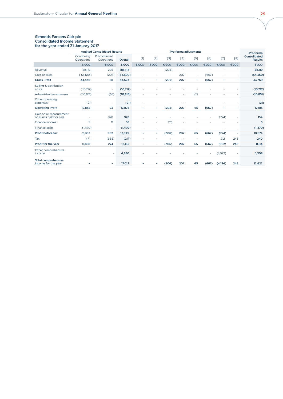#### Simonds Farsons Cisk plc Consolidated Income Statement for the year ended 31 January 2017

|                                                   | <b>Audited Consolidated Results</b> |                            |           | Pro forma adjustments |       |       |       |        |       | Pro forma |       |                                |
|---------------------------------------------------|-------------------------------------|----------------------------|-----------|-----------------------|-------|-------|-------|--------|-------|-----------|-------|--------------------------------|
|                                                   | Continuing<br>Operations            | Discontinued<br>Operations | Overall   | [1]                   | [2]   | $51$  | $[4]$ | [5]    | F67   | [7]       | [8]   | Consolidated<br><b>Results</b> |
|                                                   | €'000                               | €'000                      | €'000     | €'000                 | €'000 | €'000 | €'000 | €'000  | €'000 | €'000     | €'000 | €'000                          |
| Revenue                                           | 88,119                              | 295                        | 88,414    | ۰                     | ۰     | (295) | ٠     | ۰      | ۰     | ٠         | ۰     | 88,119                         |
| Cost of sales                                     | (53,683)                            | (207)                      | (53,890)  | ۰                     | ٠     | ٠     | 207   | $\sim$ | (667) | ۰         | ۰     | (54, 350)                      |
| <b>Gross Profit</b>                               | 34,436                              | 88                         | 34,524    | ۰                     |       | (295) | 207   | ۰      | (667) | ٠         | -     | 33,769                         |
| Selling & distribution<br>costs                   | (10,712)                            | ۰                          | (10,712)  |                       |       |       |       |        |       |           |       | (10,712)                       |
| Administrative expenses                           | (10, 851)                           | (65)                       | (10, 916) | ۰                     |       |       | ۰     | 65     | ۰     |           |       | (10, 851)                      |
| Other operating<br>expenses                       | (21)                                | ۰                          | (21)      | ۰                     |       |       |       |        |       |           | -     | (21)                           |
| <b>Operating Profit</b>                           | 12,852                              | 23                         | 12,875    | ۰.                    | ٠     | (295) | 207   | 65     | (667) | ۰         | ۰     | 12,185                         |
| Gain on re-measurement<br>of assets held for sale | ۰                                   | 928                        | 928       | ۰                     |       |       |       |        | ۰     | (774)     | ۰     | 154                            |
| Finance income                                    | 5                                   | 11                         | 16        | ۰                     | ۰     | (11)  | ۰     |        |       |           | ۰     | 5                              |
| Finance costs                                     | (1,470)                             | ۰                          | (1,470)   | ٠                     | -     | ۰     | ۰     |        | -     | ٠         | ۰     | (1,470)                        |
| Profit before tax                                 | 11,387                              | 962                        | 12,349    | ۰                     | ۰     | (306) | 207   | 65     | (667) | (774)     | ۰.    | 10,874                         |
| Tax                                               | 471                                 | (688)                      | (217)     | ۰                     | ۰     | ۰     | ۰     |        | ٠     | 212       | 245   | 240                            |
| Profit for the year                               | 11,858                              | 274                        | 12,132    | ۰                     | ۰     | (306) | 207   | 65     | (667) | (562)     | 245   | 11,114                         |
| Other comprehensive<br>income                     |                                     |                            | 4,880     |                       |       |       |       |        |       | (3, 572)  |       | 1,308                          |
| <b>Total comprehensive</b><br>income for the year |                                     | ۰                          | 17,012    |                       |       | (306) | 207   | 65     | (667) | (4, 134)  | 245   | 12,422                         |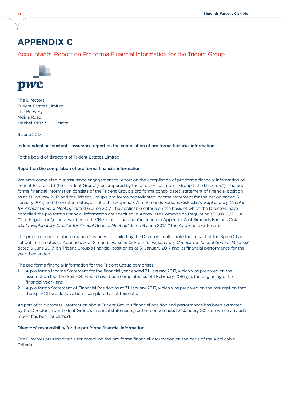## **APPENDIX C**

## Accountants' Report on Pro forma Financial Information for the Trident Group



The Directors Trident Estates Limited The Brewery Mdina Road Mriehel. BKR 3000. Malta

6 June 2017

#### Independent accountant's assurance report on the compilation of pro forma financial information

To the board of directors of Trident Estates Limited

#### Report on the compilation of pro forma financial information

We have completed our assurance engagement to report on the compilation of pro forma financial information of Trident Estates Ltd (the "Trident Group"), as prepared by the directors of Trident Group ("the Directors"). The pro forma financial information consists of the Trident Group's pro forma consolidated statement of financial position as at 31 January 2017 and the Trident Group's pro forma consolidated income statement for the period ended 31 January 2017, and the related notes, as set out in Appendix A of Simonds Farsons Cisk p.l.c.'s 'Explanatory Circular for Annual General Meeting' dated 6 June 2017. The applicable criteria on the basis of which the Directors have compiled the pro forma financial information are specified in Annex II to Commission Regulation (EC) 809/2004 ("the Regulation") and described in the 'Basis of preparation' included in Appendix A of Simonds Farsons Cisk p.l.c.'s 'Explanatory Circular for Annual General Meeting' dated 6 June 2017 ("the Applicable Criteria").

The pro forma financial information has been compiled by the Directors to illustrate the impact of the Spin-Off as set out in the notes to Appendix A of Simonds Farsons Cisk p.l.c.'s 'Explanatory Circular for Annual General Meeting' dated 6 June 2017, on Trident Group's financial position as at 31 January 2017 and its financial performance for the year then ended.

The pro forma financial information for the Trident Group comprises:

- 1. A pro forma Income Statement for the financial year ended 31 January 2017, which was prepared on the assumption that the Spin-Off would have been completed as of 1 February 2016 (i.e. the beginning of the financial year); and
- 2. A pro forma Statement of Financial Position as at 31 January 2017, which was prepared on the assumption that the Spin-Off would have been completed as at this date.

As part of this process, information about Trident Group's financial position and performance has been extracted by the Directors from Trident Group's financial statements, for the period ended 31 January 2017, on which an audit report has been published.

#### Directors' responsibility for the pro forma financial information

The Directors are responsible for compiling the pro forma financial information on the basis of the Applicable Criteria.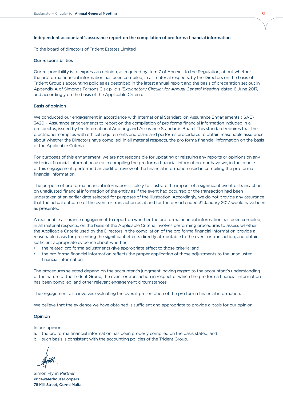#### Independent accountant's assurance report on the compilation of pro forma financial information

To the board of directors of Trident Estates Limited

#### Our responsibilities

Our responsibility is to express an opinion, as required by item 7 of Annex II to the Regulation, about whether the pro forma financial information has been compiled, in all material respects, by the Directors on the basis of Trident Group's accounting policies as described in the latest annual report and the basis of preparation set out in Appendix A of Simonds Farsons Cisk p.l.c.'s 'Explanatory Circular for Annual General Meeting' dated 6 June 2017, and accordingly on the basis of the Applicable Criteria.

#### Basis of opinion

We conducted our engagement in accordance with International Standard on Assurance Engagements (ISAE) 3420 – Assurance engagements to report on the compilation of pro forma financial information included in a prospectus, issued by the International Auditing and Assurance Standards Board. This standard requires that the practitioner complies with ethical requirements and plans and performs procedures to obtain reasonable assurance about whether the Directors have compiled, in all material respects, the pro forma financial information on the basis of the Applicable Criteria.

For purposes of this engagement, we are not responsible for updating or reissuing any reports or opinions on any historical financial information used in compiling the pro forma financial information, nor have we, in the course of this engagement, performed an audit or review of the financial information used in compiling the pro forma financial information.

The purpose of pro forma financial information is solely to illustrate the impact of a significant event or transaction on unadjusted financial information of the entity as if the event had occurred or the transaction had been undertaken at an earlier date selected for purposes of the illustration. Accordingly, we do not provide any assurance that the actual outcome of the event or transaction as at and for the period ended 31 January 2017 would have been as presented.

A reasonable assurance engagement to report on whether the pro forma financial information has been compiled, in all material respects, on the basis of the Applicable Criteria involves performing procedures to assess whether the Applicable Criteria used by the Directors in the compilation of the pro forma financial information provide a reasonable basis for presenting the significant effects directly attributable to the event or transaction, and obtain sufficient appropriate evidence about whether:

- the related pro forma adjustments give appropriate effect to those criteria; and
- the pro forma financial information reflects the proper application of those adjustments to the unadjusted financial information.

The procedures selected depend on the accountant's judgment, having regard to the accountant's understanding of the nature of the Trident Group, the event or transaction in respect of which the pro forma financial information has been compiled, and other relevant engagement circumstances.

The engagement also involves evaluating the overall presentation of the pro forma financial information.

We believe that the evidence we have obtained is sufficient and appropriate to provide a basis for our opinion.

#### Opinion

In our opinion:

- a. the pro forma financial information has been properly compiled on the basis stated; and
- b. such basis is consistent with the accounting policies of the Trident Group.

Simon Flynn Partner PricewaterhouseCoopers 78 Mill Street, Qormi Malta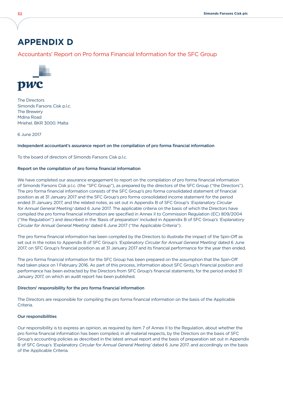# **APPENDIX D**

## Accountants' Report on Pro forma Financial Information for the SFC Group



The Directors Simonds Farsons Cisk p.l.c. The Brewery Mdina Road Mriehel. BKR 3000. Malta

6 June 2017

#### Independent accountant's assurance report on the compilation of pro forma financial information

To the board of directors of Simonds Farsons Cisk p.l.c.

#### Report on the compilation of pro forma financial information

We have completed our assurance engagement to report on the compilation of pro forma financial information of Simonds Farsons Cisk p.l.c. (the "SFC Group"), as prepared by the directors of the SFC Group ("the Directors"). The pro forma financial information consists of the SFC Group's pro forma consolidated statement of financial position as at 31 January 2017 and the SFC Group's pro forma consolidated income statement for the period ended 31 January 2017, and the related notes, as set out in Appendix B of SFC Group's 'Explanatory Circular for Annual General Meeting' dated 6 June 2017. The applicable criteria on the basis of which the Directors have compiled the pro forma financial information are specified in Annex II to Commission Regulation (EC) 809/2004 ("the Regulation") and described in the 'Basis of preparation' included in Appendix B of SFC Group's 'Explanatory Circular for Annual General Meeting' dated 6 June 2017 ("the Applicable Criteria").

The pro forma financial information has been compiled by the Directors to illustrate the impact of the Spin-Off as set out in the notes to Appendix B of SFC Group's 'Explanatory Circular for Annual General Meeting' dated 6 June 2017, on SFC Group's financial position as at 31 January 2017 and its financial performance for the year then ended.

The pro forma financial information for the SFC Group has been prepared on the assumption that the Spin-Off had taken place on 1 February 2016. As part of this process, information about SFC Group's financial position and performance has been extracted by the Directors from SFC Group's financial statements, for the period ended 31 January 2017, on which an audit report has been published.

#### Directors' responsibility for the pro forma financial information

The Directors are responsible for compiling the pro forma financial information on the basis of the Applicable **Criteria** 

#### Our responsibilities

Our responsibility is to express an opinion, as required by item 7 of Annex II to the Regulation, about whether the pro forma financial information has been compiled, in all material respects, by the Directors on the basis of SFC Group's accounting policies as described in the latest annual report and the basis of preparation set out in Appendix B of SFC Group's 'Explanatory Circular for Annual General Meeting' dated 6 June 2017, and accordingly on the basis of the Applicable Criteria.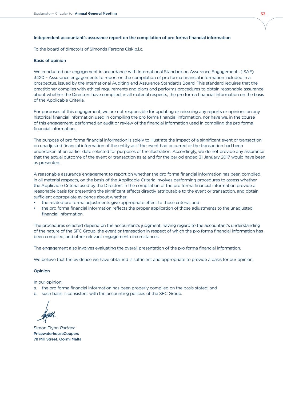#### Independent accountant's assurance report on the compilation of pro forma financial information

To the board of directors of Simonds Farsons Cisk p.l.c.

#### Basis of opinion

We conducted our engagement in accordance with International Standard on Assurance Engagements (ISAE) 3420 – Assurance engagements to report on the compilation of pro forma financial information included in a prospectus, issued by the International Auditing and Assurance Standards Board. This standard requires that the practitioner complies with ethical requirements and plans and performs procedures to obtain reasonable assurance about whether the Directors have compiled, in all material respects, the pro forma financial information on the basis of the Applicable Criteria.

For purposes of this engagement, we are not responsible for updating or reissuing any reports or opinions on any historical financial information used in compiling the pro forma financial information, nor have we, in the course of this engagement, performed an audit or review of the financial information used in compiling the pro forma financial information.

The purpose of pro forma financial information is solely to illustrate the impact of a significant event or transaction on unadjusted financial information of the entity as if the event had occurred or the transaction had been undertaken at an earlier date selected for purposes of the illustration. Accordingly, we do not provide any assurance that the actual outcome of the event or transaction as at and for the period ended 31 January 2017 would have been as presented.

A reasonable assurance engagement to report on whether the pro forma financial information has been compiled, in all material respects, on the basis of the Applicable Criteria involves performing procedures to assess whether the Applicable Criteria used by the Directors in the compilation of the pro forma financial information provide a reasonable basis for presenting the significant effects directly attributable to the event or transaction, and obtain sufficient appropriate evidence about whether:

- the related pro forma adjustments give appropriate effect to those criteria; and
- the pro forma financial information reflects the proper application of those adjustments to the unadjusted financial information.

The procedures selected depend on the accountant's judgment, having regard to the accountant's understanding of the nature of the SFC Group, the event or transaction in respect of which the pro forma financial information has been compiled, and other relevant engagement circumstances.

The engagement also involves evaluating the overall presentation of the pro forma financial information.

We believe that the evidence we have obtained is sufficient and appropriate to provide a basis for our opinion.

#### Opinion

In our opinion:

- a. the pro forma financial information has been properly compiled on the basis stated; and
- b. such basis is consistent with the accounting policies of the SFC Group.

Simon Flynn Partner PricewaterhouseCoopers 78 Mill Street, Qormi Malta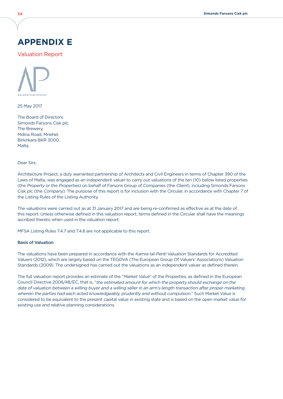## **APPENDIX E**

Valuation Report



25 May 2017

The Board of Directors Simonds Farsons Cisk plc. The Brewery, Mdina Road, Mriehel, Birkirkara BKR 3000, Malta.

Dear Sirs,

Architecture Project, a duly warranted partnership of Architects and Civil Engineers in terms of Chapter 390 of the Laws of Malta, was engaged as an independent valuer to carry out valuations of the ten (10) below listed properties (the Property or the Properties) on behalf of Farsons Group of Companies (the Client), including Simonds Farsons Cisk plc (the Company). The purpose of this report is for inclusion with the Circular, in accordance with Chapter 7 of the Listing Rules of the Listing Authority.

The valuations were carried out as at 31 January 2017 and are being re-confirmed as effective as at the date of this report. Unless otherwise defined in this valuation report, terms defined in the Circular shall have the meanings ascribed thereto when used in the valuation report.

MFSA Listing Rules 7.4.7 and 7.4.8 are not applicable to this report.

#### Basis of Valuation

The valuations have been prepared in accordance with the Kamra tal-Periti Valuation Standards for Accredited Valuers (2012), which are largely based on the TEGOVA (The European Group Of Valuers' Associations) Valuation Standards (2009). The undersigned has carried out the valuations as an independent valuer as defined therein.

The full valuation report provides an estimate of the "Market Value" of the Properties, as defined in the European Council Directive 2006/48/EC, that is, "the estimated amount for which the property should exchange on the date of valuation between a willing buyer and a willing seller in an arm's-length transaction after proper marketing wherein the parties had each acted knowledgeably, prudently and without compulsion." Such Market Value is considered to be equivalent to the present capital value in existing state and is based on the open market value for existing use and relative planning considerations.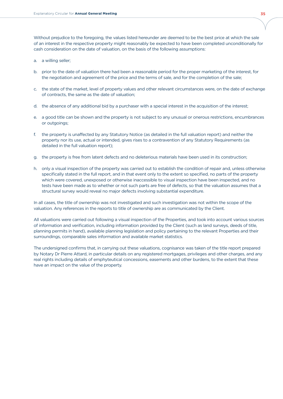Without prejudice to the foregoing, the values listed hereunder are deemed to be the best price at which the sale of an interest in the respective property might reasonably be expected to have been completed unconditionally for cash consideration on the date of valuation, on the basis of the following assumptions:

- a. a willing seller;
- b. prior to the date of valuation there had been a reasonable period for the proper marketing of the interest, for the negotiation and agreement of the price and the terms of sale, and for the completion of the sale;
- c. the state of the market, level of property values and other relevant circumstances were, on the date of exchange of contracts, the same as the date of valuation;
- d. the absence of any additional bid by a purchaser with a special interest in the acquisition of the interest;
- e. a good title can be shown and the property is not subject to any unusual or onerous restrictions, encumbrances or outgoings;
- f. the property is unaffected by any Statutory Notice (as detailed in the full valuation report) and neither the property nor its use, actual or intended, gives rises to a contravention of any Statutory Requirements (as detailed in the full valuation report);
- g. the property is free from latent defects and no deleterious materials have been used in its construction;
- h. only a visual inspection of the property was carried out to establish the condition of repair and, unless otherwise specifically stated in the full report, and in that event only to the extent so specified, no parts of the property which were covered, unexposed or otherwise inaccessible to visual inspection have been inspected, and no tests have been made as to whether or not such parts are free of defects, so that the valuation assumes that a structural survey would reveal no major defects involving substantial expenditure.

In all cases, the title of ownership was not investigated and such investigation was not within the scope of the valuation. Any references in the reports to title of ownership are as communicated by the Client.

All valuations were carried out following a visual inspection of the Properties, and took into account various sources of information and verification, including information provided by the Client (such as land surveys, deeds of title, planning permits in hand), available planning legislation and policy pertaining to the relevant Properties and their surroundings, comparable sales information and available market statistics.

The undersigned confirms that, in carrying out these valuations, cognisance was taken of the title report prepared by Notary Dr Pierre Attard, in particular details on any registered mortgages, privileges and other charges, and any real rights including details of emphyteutical concessions, easements and other burdens, to the extent that these have an impact on the value of the property.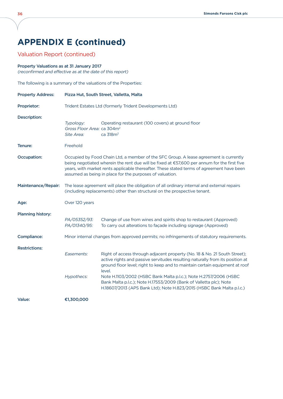# **Appendix E (continued)**

## Valuation Report (continued)

#### Property Valuations as at 31 January 2017

(reconfirmed and effective as at the date of this report)

The following is a summary of the valuations of the Properties:

| <b>Property Address:</b> | Pizza Hut, South Street, Valletta, Malta                                                                                                                                 |                                                                                                                                                                                                                                                                                                                                                                                                                                                                         |  |
|--------------------------|--------------------------------------------------------------------------------------------------------------------------------------------------------------------------|-------------------------------------------------------------------------------------------------------------------------------------------------------------------------------------------------------------------------------------------------------------------------------------------------------------------------------------------------------------------------------------------------------------------------------------------------------------------------|--|
| Proprietor:              | Trident Estates Ltd (formerly Trident Developments Ltd)                                                                                                                  |                                                                                                                                                                                                                                                                                                                                                                                                                                                                         |  |
| <b>Description:</b>      | Typology:<br>Gross Floor Area: ca 304m <sup>2</sup><br>Site Area:                                                                                                        | Operating restaurant (100 covers) at ground floor<br>ca 318m <sup>2</sup>                                                                                                                                                                                                                                                                                                                                                                                               |  |
| Tenure:                  | Freehold                                                                                                                                                                 |                                                                                                                                                                                                                                                                                                                                                                                                                                                                         |  |
| <b>Occupation:</b>       |                                                                                                                                                                          | Occupied by Food Chain Ltd, a member of the SFC Group. A lease agreement is currently<br>being negotiated wherein the rent due will be fixed at €57,600 per annum for the first five<br>years, with market rents applicable thereafter. These stated terms of agreement have been<br>assumed as being in place for the purposes of valuation.                                                                                                                           |  |
| Maintenance/Repair:      | The lease agreement will place the obligation of all ordinary internal and external repairs<br>(including replacements) other than structural on the prospective tenant. |                                                                                                                                                                                                                                                                                                                                                                                                                                                                         |  |
| Age:                     | Over 120 years                                                                                                                                                           |                                                                                                                                                                                                                                                                                                                                                                                                                                                                         |  |
| <b>Planning history:</b> | PA/05352/93:<br>PA/01340/95:                                                                                                                                             | Change of use from wines and spirits shop to restaurant (Approved)<br>To carry out alterations to façade including signage (Approved)                                                                                                                                                                                                                                                                                                                                   |  |
| <b>Compliance:</b>       |                                                                                                                                                                          | Minor internal changes from approved permits; no infringements of statutory requirements.                                                                                                                                                                                                                                                                                                                                                                               |  |
| <b>Restrictions:</b>     | Easements:<br>Hypothecs:                                                                                                                                                 | Right of access through adjacent property (No. 18 & No. 21 South Street);<br>active rights and passive servitudes resulting naturally from its position at<br>ground floor level; right to keep and to maintain certain equipment at roof<br>level.<br>Note H.1103/2002 (HSBC Bank Malta p.l.c.); Note H.2757/2006 (HSBC<br>Bank Malta p.l.c.); Note H.17553/2009 (Bank of Valletta plc); Note<br>H.18607/2013 (APS Bank Ltd); Note H.823/2015 (HSBC Bank Malta p.l.c.) |  |
| Value:                   | €1,300,000                                                                                                                                                               |                                                                                                                                                                                                                                                                                                                                                                                                                                                                         |  |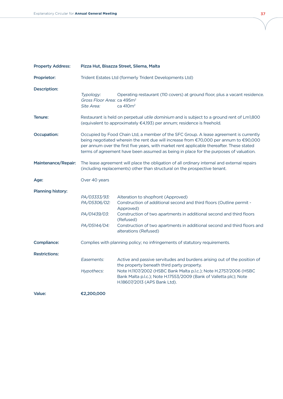| <b>Property Address:</b> | Pizza Hut, Bisazza Street, Sliema, Malta                                                                                                                                                                                                                                                                                                                             |                                                                                                                                                                                                                                                                                                                   |  |
|--------------------------|----------------------------------------------------------------------------------------------------------------------------------------------------------------------------------------------------------------------------------------------------------------------------------------------------------------------------------------------------------------------|-------------------------------------------------------------------------------------------------------------------------------------------------------------------------------------------------------------------------------------------------------------------------------------------------------------------|--|
| Proprietor:              | Trident Estates Ltd (formerly Trident Developments Ltd)                                                                                                                                                                                                                                                                                                              |                                                                                                                                                                                                                                                                                                                   |  |
| <b>Description:</b>      | Typology:<br>Gross Floor Area: ca 495m <sup>2</sup><br>Site Area:                                                                                                                                                                                                                                                                                                    | Operating restaurant (110 covers) at ground floor, plus a vacant residence.<br>ca 410m <sup>2</sup>                                                                                                                                                                                                               |  |
| Tenure:                  |                                                                                                                                                                                                                                                                                                                                                                      | Restaurant is held on perpetual utile dominium and is subject to a ground rent of Lm1,800<br>(equivalent to approximately €4,193) per annum; residence is freehold.                                                                                                                                               |  |
| <b>Occupation:</b>       | Occupied by Food Chain Ltd, a member of the SFC Group. A lease agreement is currently<br>being negotiated wherein the rent due will increase from €70,000 per annum to €90,000<br>per annum over the first five years, with market rent applicable thereafter. These stated<br>terms of agreement have been assumed as being in place for the purposes of valuation. |                                                                                                                                                                                                                                                                                                                   |  |
| Maintenance/Repair:      | The lease agreement will place the obligation of all ordinary internal and external repairs<br>(including replacements) other than structural on the prospective tenant.                                                                                                                                                                                             |                                                                                                                                                                                                                                                                                                                   |  |
| Age:                     | Over 40 years                                                                                                                                                                                                                                                                                                                                                        |                                                                                                                                                                                                                                                                                                                   |  |
| Planning history:        | PA/03333/93:<br>PA/05306/02:<br>PA/01439/03:<br>PA/05144/04:                                                                                                                                                                                                                                                                                                         | Alteration to shopfront (Approved)<br>Construction of additional second and third floors (Outline permit -<br>Approved)<br>Construction of two apartments in additional second and third floors<br>(Refused)<br>Construction of two apartments in additional second and third floors and<br>alterations (Refused) |  |
| <b>Compliance:</b>       |                                                                                                                                                                                                                                                                                                                                                                      | Complies with planning policy; no infringements of statutory requirements.                                                                                                                                                                                                                                        |  |
| <b>Restrictions:</b>     | Easements:<br>Hypothecs:                                                                                                                                                                                                                                                                                                                                             | Active and passive servitudes and burdens arising out of the position of<br>the property beneath third party property.<br>Note H.1107/2002 (HSBC Bank Malta p.l.c.); Note H.2757/2006 (HSBC<br>Bank Malta p.l.c.); Note H.17553/2009 (Bank of Valletta plc); Note<br>H.18607/2013 (APS Bank Ltd).                 |  |
| Value:                   | €2,200,000                                                                                                                                                                                                                                                                                                                                                           |                                                                                                                                                                                                                                                                                                                   |  |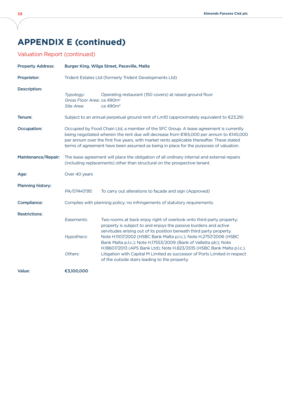# **Appendix E (continued)**

## Valuation Report (continued)

| <b>Property Address:</b> | Burger King, Wilga Street, Paceville, Malta                                                                                                                              |                                                                                                                                                                                                                                                                                                                                                                         |  |
|--------------------------|--------------------------------------------------------------------------------------------------------------------------------------------------------------------------|-------------------------------------------------------------------------------------------------------------------------------------------------------------------------------------------------------------------------------------------------------------------------------------------------------------------------------------------------------------------------|--|
| Proprietor:              |                                                                                                                                                                          | Trident Estates Ltd (formerly Trident Developments Ltd)                                                                                                                                                                                                                                                                                                                 |  |
| <b>Description:</b>      | Typology:<br>Gross Floor Area: ca 490m <sup>2</sup><br>Site Area:                                                                                                        | Operating restaurant (150 covers) at raised ground floor<br>ca 490m <sup>2</sup>                                                                                                                                                                                                                                                                                        |  |
| Tenure:                  |                                                                                                                                                                          | Subject to an annual perpetual ground rent of Lm10 (approximately equivalent to €23.29)                                                                                                                                                                                                                                                                                 |  |
| Occupation:              |                                                                                                                                                                          | Occupied by Food Chain Ltd, a member of the SFC Group. A lease agreement is currently<br>being negotiated wherein the rent due will decrease from €165,000 per annum to €145,000<br>per annum over the first five years, with market rents applicable thereafter. These stated<br>terms of agreement have been assumed as being in place for the purposes of valuation. |  |
| Maintenance/Repair:      | The lease agreement will place the obligation of all ordinary internal and external repairs<br>(including replacements) other than structural on the prospective tenant. |                                                                                                                                                                                                                                                                                                                                                                         |  |
| Age:                     | Over 40 years                                                                                                                                                            |                                                                                                                                                                                                                                                                                                                                                                         |  |
| <b>Planning history:</b> | PA/07447/95:                                                                                                                                                             | To carry out alterations to façade and sign (Approved)                                                                                                                                                                                                                                                                                                                  |  |
| <b>Compliance:</b>       | Complies with planning policy; no infringements of statutory requirements.                                                                                               |                                                                                                                                                                                                                                                                                                                                                                         |  |
| <b>Restrictions:</b>     | Easements:<br>Hypothecs:                                                                                                                                                 | Two rooms at back enjoy right of overlook onto third party property;<br>property is subject to and enjoys the passive burdens and active<br>servitudes arising out of its position beneath third party property.<br>Note H.1107/2002 (HSBC Bank Malta p.l.c.); Note H.2757/2006 (HSBC                                                                                   |  |
|                          | Others:                                                                                                                                                                  | Bank Malta p.l.c.); Note H.17553/2009 (Bank of Valletta plc); Note<br>H.18607/2013 (APS Bank Ltd); Note H.823/2015 (HSBC Bank Malta p.l.c.).<br>Litigation with Capital M Limited as successor of Ports Limited in respect<br>of the outside stairs leading to the property.                                                                                            |  |
| Value:                   | €3,100,000                                                                                                                                                               |                                                                                                                                                                                                                                                                                                                                                                         |  |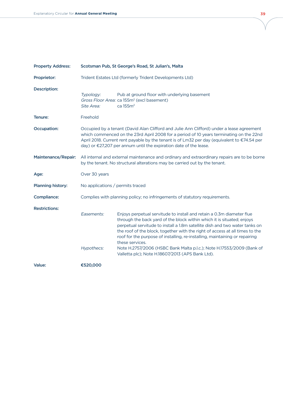| <b>Property Address:</b> | Scotsman Pub, St George's Road, St Julian's, Malta                                                                                                                         |                                                                                                                                                                                                                                                                                                                                                                                                                                                                                                                                               |  |
|--------------------------|----------------------------------------------------------------------------------------------------------------------------------------------------------------------------|-----------------------------------------------------------------------------------------------------------------------------------------------------------------------------------------------------------------------------------------------------------------------------------------------------------------------------------------------------------------------------------------------------------------------------------------------------------------------------------------------------------------------------------------------|--|
| Proprietor:              | Trident Estates Ltd (formerly Trident Developments Ltd)                                                                                                                    |                                                                                                                                                                                                                                                                                                                                                                                                                                                                                                                                               |  |
| <b>Description:</b>      | Typology:<br>Site Area:                                                                                                                                                    | Pub at ground floor with underlying basement<br>Gross Floor Area: ca 155m <sup>2</sup> (excl basement)<br>ca 155m <sup>2</sup>                                                                                                                                                                                                                                                                                                                                                                                                                |  |
| <b>Tenure:</b>           | Freehold                                                                                                                                                                   |                                                                                                                                                                                                                                                                                                                                                                                                                                                                                                                                               |  |
| <b>Occupation:</b>       |                                                                                                                                                                            | Occupied by a tenant (David Alan Clifford and Julie Ann Clifford) under a lease agreement<br>which commenced on the 23rd April 2008 for a period of 10 years terminating on the 22nd<br>April 2018. Current rent payable by the tenant is of Lm32 per day (equivalent to $\epsilon$ 74.54 per<br>day) or €27,207 per annum until the expiration date of the lease.                                                                                                                                                                            |  |
| Maintenance/Repair:      | All internal and external maintenance and ordinary and extraordinary repairs are to be borne<br>by the tenant. No structural alterations may be carried out by the tenant. |                                                                                                                                                                                                                                                                                                                                                                                                                                                                                                                                               |  |
| Age:                     | Over 30 years                                                                                                                                                              |                                                                                                                                                                                                                                                                                                                                                                                                                                                                                                                                               |  |
| <b>Planning history:</b> | No applications / permits traced                                                                                                                                           |                                                                                                                                                                                                                                                                                                                                                                                                                                                                                                                                               |  |
| <b>Compliance:</b>       |                                                                                                                                                                            | Complies with planning policy; no infringements of statutory requirements.                                                                                                                                                                                                                                                                                                                                                                                                                                                                    |  |
| <b>Restrictions:</b>     | Easements:<br>Hypothecs:                                                                                                                                                   | Enjoys perpetual servitude to install and retain a 0.3m diameter flue<br>through the back yard of the block within which it is situated; enjoys<br>perpetual servitude to install a 1.8m satellite dish and two water tanks on<br>the roof of the block, together with the right of access at all times to the<br>roof for the purpose of installing, re-installing, maintaining or repairing<br>these services.<br>Note H.2757/2006 (HSBC Bank Malta p.l.c.); Note H.17553/2009 (Bank of<br>Valletta plc); Note H.18607/2013 (APS Bank Ltd). |  |
| Value:                   | €520,000                                                                                                                                                                   |                                                                                                                                                                                                                                                                                                                                                                                                                                                                                                                                               |  |

γ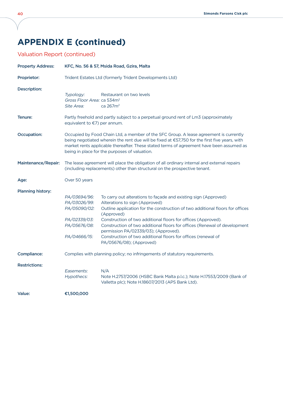# **Appendix E (continued)**

## Valuation Report (continued)

| <b>Property Address:</b> | KFC, No. 56 & 57, Msida Road, Gzira, Malta                                                                                                                                                                                                                                                                                          |                                                                                                                                                                                                                                                                   |  |
|--------------------------|-------------------------------------------------------------------------------------------------------------------------------------------------------------------------------------------------------------------------------------------------------------------------------------------------------------------------------------|-------------------------------------------------------------------------------------------------------------------------------------------------------------------------------------------------------------------------------------------------------------------|--|
| Proprietor:              | Trident Estates Ltd (formerly Trident Developments Ltd)                                                                                                                                                                                                                                                                             |                                                                                                                                                                                                                                                                   |  |
| <b>Description:</b>      | Typology:<br>Gross Floor Area: ca 534m <sup>2</sup><br>Site Area:                                                                                                                                                                                                                                                                   | Restaurant on two levels<br>ca 267m <sup>2</sup>                                                                                                                                                                                                                  |  |
| Tenure:                  | equivalent to €7) per annum.                                                                                                                                                                                                                                                                                                        | Partly freehold and partly subject to a perpetual ground rent of Lm3 (approximately                                                                                                                                                                               |  |
| <b>Occupation:</b>       | Occupied by Food Chain Ltd, a member of the SFC Group. A lease agreement is currently<br>being negotiated wherein the rent due will be fixed at €57,750 for the first five years, with<br>market rents applicable thereafter. These stated terms of agreement have been assumed as<br>being in place for the purposes of valuation. |                                                                                                                                                                                                                                                                   |  |
| Maintenance/Repair:      | The lease agreement will place the obligation of all ordinary internal and external repairs<br>(including replacements) other than structural on the prospective tenant.                                                                                                                                                            |                                                                                                                                                                                                                                                                   |  |
| Age:                     | Over 50 years                                                                                                                                                                                                                                                                                                                       |                                                                                                                                                                                                                                                                   |  |
| Planning history:        |                                                                                                                                                                                                                                                                                                                                     |                                                                                                                                                                                                                                                                   |  |
|                          | PA/03694/96:<br>PA/03026/99:<br>PA/05090/02:<br>PA/02339/03:                                                                                                                                                                                                                                                                        | To carry out alterations to façade and existing sign (Approved)<br>Alterations to sign (Approved)<br>Outline application for the construction of two additional floors for offices<br>(Approved)<br>Construction of two additional floors for offices (Approved). |  |
|                          | PA/05676/08:<br>PA/04666/15:                                                                                                                                                                                                                                                                                                        | Construction of two additional floors for offices (Renewal of development<br>permission PA/02339/03); (Approved).<br>Construction of two additional floors for offices (renewal of<br>PA/05676/08); (Approved)                                                    |  |
| <b>Compliance:</b>       | Complies with planning policy; no infringements of statutory requirements.                                                                                                                                                                                                                                                          |                                                                                                                                                                                                                                                                   |  |
| <b>Restrictions:</b>     |                                                                                                                                                                                                                                                                                                                                     |                                                                                                                                                                                                                                                                   |  |
|                          | Easements:<br>Hypothecs:                                                                                                                                                                                                                                                                                                            | N/A<br>Note H.2757/2006 (HSBC Bank Malta p.l.c.); Note H.17553/2009 (Bank of<br>Valletta plc); Note H.18607/2013 (APS Bank Ltd).                                                                                                                                  |  |
| Value:                   | €1,500,000                                                                                                                                                                                                                                                                                                                          |                                                                                                                                                                                                                                                                   |  |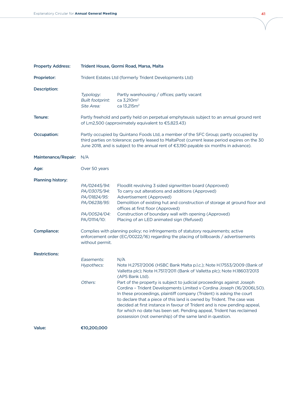| <b>Property Address:</b> | Trident House, Qormi Road, Marsa, Malta                                                                                                                                                                                                                                          |                                                                                                                                                                                                                                                                                                                                                                                                                                                                                                                                                                                                                                                                                                      |  |
|--------------------------|----------------------------------------------------------------------------------------------------------------------------------------------------------------------------------------------------------------------------------------------------------------------------------|------------------------------------------------------------------------------------------------------------------------------------------------------------------------------------------------------------------------------------------------------------------------------------------------------------------------------------------------------------------------------------------------------------------------------------------------------------------------------------------------------------------------------------------------------------------------------------------------------------------------------------------------------------------------------------------------------|--|
| Proprietor:              | Trident Estates Ltd (formerly Trident Developments Ltd)                                                                                                                                                                                                                          |                                                                                                                                                                                                                                                                                                                                                                                                                                                                                                                                                                                                                                                                                                      |  |
| <b>Description:</b>      | Typology:<br><b>Built footprint:</b><br>Site Area:                                                                                                                                                                                                                               | Partly warehousing / offices; partly vacant<br>ca 3,210m <sup>2</sup><br>ca 13,215m <sup>2</sup>                                                                                                                                                                                                                                                                                                                                                                                                                                                                                                                                                                                                     |  |
| Tenure:                  |                                                                                                                                                                                                                                                                                  | Partly freehold and partly held on perpetual emphyteusis subject to an annual ground rent<br>of Lm2,500 (approximately equivalent to €5,823.43)                                                                                                                                                                                                                                                                                                                                                                                                                                                                                                                                                      |  |
| <b>Occupation:</b>       | Partly occupied by Quintano Foods Ltd, a member of the SFC Group; partly occupied by<br>third parties on tolerance; partly leased to MaltaPost (current lease period expires on the 30<br>June 2018, and is subject to the annual rent of €3,190 payable six months in advance). |                                                                                                                                                                                                                                                                                                                                                                                                                                                                                                                                                                                                                                                                                                      |  |
| Maintenance/Repair:      | N/A                                                                                                                                                                                                                                                                              |                                                                                                                                                                                                                                                                                                                                                                                                                                                                                                                                                                                                                                                                                                      |  |
| Age:                     | Over 50 years                                                                                                                                                                                                                                                                    |                                                                                                                                                                                                                                                                                                                                                                                                                                                                                                                                                                                                                                                                                                      |  |
| <b>Planning history:</b> | PA/02445/94:<br>PA/03075/94:<br>PA/01824/95:<br>PA/06238/95:<br>PA/00524/04:<br>PA/01114/10:                                                                                                                                                                                     | Floodlit revolving 3 sided signwritten board (Approved)<br>To carry out alterations and additions (Approved)<br>Advertisement (Approved)<br>Demolition of existing hut and construction of storage at ground floor and<br>offices at first floor (Approved)<br>Construction of boundary wall with opening (Approved)<br>Placing of an LED animated sign (Refused)                                                                                                                                                                                                                                                                                                                                    |  |
| <b>Compliance:</b>       | without permit.                                                                                                                                                                                                                                                                  | Complies with planning policy; no infringements of statutory requirements; active<br>enforcement order (EC/00222/16) regarding the placing of billboards / advertisements                                                                                                                                                                                                                                                                                                                                                                                                                                                                                                                            |  |
| <b>Restrictions:</b>     | Easements:<br>Hypothecs:<br>Others:                                                                                                                                                                                                                                              | N/A<br>Note H.2757/2006 (HSBC Bank Malta p.l.c.); Note H.17553/2009 (Bank of<br>Valletta plc); Note H.7517/2011 (Bank of Valletta plc); Note H.18607/2013<br>(APS Bank Ltd).<br>Part of the property is subject to judicial proceedings against Joseph<br>Cordina - Trident Developments Limited v Cordina Joseph (16/2006LSO).<br>In these proceedings, plaintiff company (Trident) is asking the court<br>to declare that a piece of this land is owned by Trident. The case was<br>decided at first instance in favour of Trident and is now pending appeal,<br>for which no date has been set. Pending appeal, Trident has reclaimed<br>possession (not ownership) of the same land in question. |  |
| Value:                   | €10,200,000                                                                                                                                                                                                                                                                      |                                                                                                                                                                                                                                                                                                                                                                                                                                                                                                                                                                                                                                                                                                      |  |

ν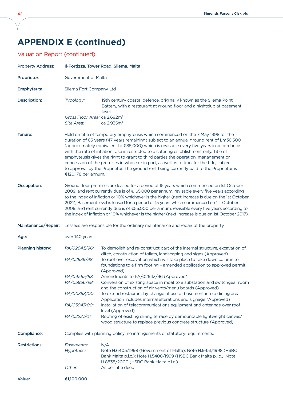# **Appendix E (continued)**

## Valuation Report (continued)

| <b>Property Address:</b> | Il-Fortizza, Tower Road, Sliema, Malta                                                                                                                                                                                                                                                                                                                                                                                                                                                                                                                                                                                                                                  |                                                                                                                                                                                                                                                                                                                |  |
|--------------------------|-------------------------------------------------------------------------------------------------------------------------------------------------------------------------------------------------------------------------------------------------------------------------------------------------------------------------------------------------------------------------------------------------------------------------------------------------------------------------------------------------------------------------------------------------------------------------------------------------------------------------------------------------------------------------|----------------------------------------------------------------------------------------------------------------------------------------------------------------------------------------------------------------------------------------------------------------------------------------------------------------|--|
| Proprietor:              | <b>Government of Malta</b>                                                                                                                                                                                                                                                                                                                                                                                                                                                                                                                                                                                                                                              |                                                                                                                                                                                                                                                                                                                |  |
| Emphyteuta:              | Sliema Fort Company Ltd                                                                                                                                                                                                                                                                                                                                                                                                                                                                                                                                                                                                                                                 |                                                                                                                                                                                                                                                                                                                |  |
| <b>Description:</b>      | Typology:<br>Gross Floor Area: ca 2,692m <sup>2</sup><br>Site Area:                                                                                                                                                                                                                                                                                                                                                                                                                                                                                                                                                                                                     | 19th century coastal defence, originally known as the Sliema Point<br>Battery, with a restaurant at ground floor and a nightclub at basement<br>level.<br>ca 2,935m <sup>2</sup>                                                                                                                               |  |
| Tenure:                  | Held on title of temporary emphyteusis which commenced on the 7 May 1998 for the<br>duration of 65 years (47 years remaining) subject to an annual ground rent of Lm36,500<br>(approximately equivalent to €85,000) which is revisable every five years in accordance<br>with the rate of inflation. Use is restricted to a catering establishment only. Title of<br>emphyteusis gives the right to grant to third parties the operation, management or<br>concession of the premises in whole or in part, as well as to transfer the title, subject<br>to approval by the Proprietor. The ground rent being currently paid to the Proprietor is<br>€120,178 per annum. |                                                                                                                                                                                                                                                                                                                |  |
| <b>Occupation:</b>       | Ground floor premises are leased for a period of 15 years which commenced on 1st October<br>2009, and rent currently due is of €165,000 per annum, revisable every five years according<br>to the index of inflation or 10% whichever is the higher (next increase is due on the 1st October<br>2021); Basement level is leased for a period of 15 years which commenced on 1st October<br>2009, and rent currently due is of €55,000 per annum, revisable every five years according to<br>the index of inflation or 10% whichever is the higher (next increase is due on 1st October 2017).                                                                           |                                                                                                                                                                                                                                                                                                                |  |
| Maintenance/Repair:      |                                                                                                                                                                                                                                                                                                                                                                                                                                                                                                                                                                                                                                                                         | Lessees are responsible for the ordinary maintenance and repair of the property.                                                                                                                                                                                                                               |  |
| Age:                     | over 140 years                                                                                                                                                                                                                                                                                                                                                                                                                                                                                                                                                                                                                                                          |                                                                                                                                                                                                                                                                                                                |  |
| <b>Planning history:</b> | PA/02643/96:<br>PA/02939/98:                                                                                                                                                                                                                                                                                                                                                                                                                                                                                                                                                                                                                                            | To demolish and re-construct part of the internal structure, excavation of<br>ditch, construction of toilets, landscaping and signs (Approved)<br>To roof over excavation which will take place to take down column to<br>foundations to a firm footing - amended application to approved permit<br>(Approved) |  |
|                          | PA/04565/98:                                                                                                                                                                                                                                                                                                                                                                                                                                                                                                                                                                                                                                                            | Amendments to PA/02643/96 (Approved)                                                                                                                                                                                                                                                                           |  |
|                          | PA/05956/98:                                                                                                                                                                                                                                                                                                                                                                                                                                                                                                                                                                                                                                                            | Conversion of existing space in moat to a substation and switchgear room<br>and the construction of air vents/menu boards (Approved)                                                                                                                                                                           |  |
|                          | PA/00358/00:                                                                                                                                                                                                                                                                                                                                                                                                                                                                                                                                                                                                                                                            | To extend restaurant by change of use of basement into a dining area.<br>Application includes internal alterations and signage (Approved)                                                                                                                                                                      |  |
|                          | PA/03947/00:                                                                                                                                                                                                                                                                                                                                                                                                                                                                                                                                                                                                                                                            | Installation of telecommunications equipment and antennae over roof<br>level (Approved)                                                                                                                                                                                                                        |  |
|                          | PA/02227/01:                                                                                                                                                                                                                                                                                                                                                                                                                                                                                                                                                                                                                                                            | Roofing of existing dining terrace by demountable lightweight canvas/<br>wood structure to replace previous concrete structure (Approved)                                                                                                                                                                      |  |
| <b>Compliance:</b>       |                                                                                                                                                                                                                                                                                                                                                                                                                                                                                                                                                                                                                                                                         | Complies with planning policy; no infringements of statutory requirements.                                                                                                                                                                                                                                     |  |
| <b>Restrictions:</b>     | Easements:<br>Hypothecs:<br>Other:                                                                                                                                                                                                                                                                                                                                                                                                                                                                                                                                                                                                                                      | N/A<br>Note H.6405/1998 (Government of Malta); Note H.9451/1998 (HSBC<br>Bank Malta p.l.c.); Note H.5408/1999 (HSBC Bank Malta p.l.c.); Note<br>H.8838/2000 (HSBC Bank Malta p.l.c.)<br>As per title deed                                                                                                      |  |
|                          |                                                                                                                                                                                                                                                                                                                                                                                                                                                                                                                                                                                                                                                                         |                                                                                                                                                                                                                                                                                                                |  |
| Value:                   | €1,100,000                                                                                                                                                                                                                                                                                                                                                                                                                                                                                                                                                                                                                                                              |                                                                                                                                                                                                                                                                                                                |  |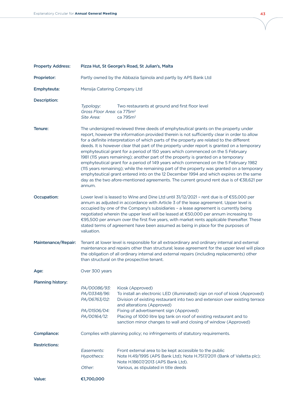| <b>Property Address:</b> | Pizza Hut, St George's Road, St Julian's, Malta                                                                                                                                                                                                                                                                                                                                                                                                                                                                                                                     |                                                                                                                                                                                                                                                                                                                                                                                                                                                                                                                                                                                                                                                                                                                                                                                                                                                                                                                                     |  |
|--------------------------|---------------------------------------------------------------------------------------------------------------------------------------------------------------------------------------------------------------------------------------------------------------------------------------------------------------------------------------------------------------------------------------------------------------------------------------------------------------------------------------------------------------------------------------------------------------------|-------------------------------------------------------------------------------------------------------------------------------------------------------------------------------------------------------------------------------------------------------------------------------------------------------------------------------------------------------------------------------------------------------------------------------------------------------------------------------------------------------------------------------------------------------------------------------------------------------------------------------------------------------------------------------------------------------------------------------------------------------------------------------------------------------------------------------------------------------------------------------------------------------------------------------------|--|
| Proprietor:              | Partly owned by the Abbazia Spinola and partly by APS Bank Ltd                                                                                                                                                                                                                                                                                                                                                                                                                                                                                                      |                                                                                                                                                                                                                                                                                                                                                                                                                                                                                                                                                                                                                                                                                                                                                                                                                                                                                                                                     |  |
| Emphyteuta:              | Mensija Catering Company Ltd                                                                                                                                                                                                                                                                                                                                                                                                                                                                                                                                        |                                                                                                                                                                                                                                                                                                                                                                                                                                                                                                                                                                                                                                                                                                                                                                                                                                                                                                                                     |  |
| Description:             | Typology:                                                                                                                                                                                                                                                                                                                                                                                                                                                                                                                                                           | Two restaurants at ground and first floor level                                                                                                                                                                                                                                                                                                                                                                                                                                                                                                                                                                                                                                                                                                                                                                                                                                                                                     |  |
|                          | Gross Floor Area: ca 775m <sup>2</sup><br>Site Area:                                                                                                                                                                                                                                                                                                                                                                                                                                                                                                                | ca 795m <sup>2</sup>                                                                                                                                                                                                                                                                                                                                                                                                                                                                                                                                                                                                                                                                                                                                                                                                                                                                                                                |  |
| Tenure:                  | annum.                                                                                                                                                                                                                                                                                                                                                                                                                                                                                                                                                              | The undersigned reviewed three deeds of emphyteutical grants on the property under<br>report, however the information provided therein is not sufficiently clear in order to allow<br>for a definite interpretation of which parts of the property are related to the different<br>deeds. It is however clear that part of the property under report is granted on a temporary<br>emphyteutical grant for a period of 150 years which commenced on the 5 February<br>1981 (115 years remaining); another part of the property is granted on a temporary<br>emphyteutical grant for a period of 149 years which commenced on the 5 February 1982<br>(115 years remaining); while the remaining part of the property was granted on a temporary<br>emphyteutical grant entered into on the 12 December 1994 and which expires on the same<br>day as the two afore-mentioned agreements. The current ground rent due is of €38,621 per |  |
| Occupation:              | Lower level is leased to Wine and Dine Ltd until 31/12/2021 - rent due is of €55,000 per<br>annum as adjusted in accordance with Article 3 of the lease agreement. Upper level is<br>occupied by one of the Company's subsidiaries - a lease agreement is currently being<br>negotiated wherein the upper level will be leased at €50,000 per annum increasing to<br>€95,500 per annum over the first five years, with market rents applicable thereafter. These<br>stated terms of agreement have been assumed as being in place for the purposes of<br>valuation. |                                                                                                                                                                                                                                                                                                                                                                                                                                                                                                                                                                                                                                                                                                                                                                                                                                                                                                                                     |  |
| Maintenance/Repair:      |                                                                                                                                                                                                                                                                                                                                                                                                                                                                                                                                                                     | Tenant at lower level is responsible for all extraordinary and ordinary internal and external<br>maintenance and repairs other than structural; lease agreement for the upper level will place<br>the obligation of all ordinary internal and external repairs (including replacements) other<br>than structural on the prospective tenant.                                                                                                                                                                                                                                                                                                                                                                                                                                                                                                                                                                                         |  |
| Age:                     | Over 300 years                                                                                                                                                                                                                                                                                                                                                                                                                                                                                                                                                      |                                                                                                                                                                                                                                                                                                                                                                                                                                                                                                                                                                                                                                                                                                                                                                                                                                                                                                                                     |  |
| Planning history:        | PA/00086/93:<br>PA/03348/96:<br>PA/06763/02:<br>PA/01506/04:<br>PA/00164/12:                                                                                                                                                                                                                                                                                                                                                                                                                                                                                        | Kiosk (Approved)<br>To install an electronic LED (illuminated) sign on roof of kiosk (Approved)<br>Division of existing restaurant into two and extension over existing terrace<br>and alterations (Approved)<br>Fixing of advertisement sign (Approved)<br>Placing of 1000 litre lpg tank on roof of existing restaurant and to<br>sanction minor changes to wall and closing of window (Approved)                                                                                                                                                                                                                                                                                                                                                                                                                                                                                                                                 |  |
| <b>Compliance:</b>       |                                                                                                                                                                                                                                                                                                                                                                                                                                                                                                                                                                     | Complies with planning policy; no infringements of statutory requirements.                                                                                                                                                                                                                                                                                                                                                                                                                                                                                                                                                                                                                                                                                                                                                                                                                                                          |  |
| <b>Restrictions:</b>     | Easements:                                                                                                                                                                                                                                                                                                                                                                                                                                                                                                                                                          | Front external area to be kept accessible to the public                                                                                                                                                                                                                                                                                                                                                                                                                                                                                                                                                                                                                                                                                                                                                                                                                                                                             |  |
|                          | Hypothecs:                                                                                                                                                                                                                                                                                                                                                                                                                                                                                                                                                          | Note H.49/1995 (APS Bank Ltd); Note H.7517/2011 (Bank of Valletta plc);<br>Note H.18607/2013 (APS Bank Ltd).                                                                                                                                                                                                                                                                                                                                                                                                                                                                                                                                                                                                                                                                                                                                                                                                                        |  |
|                          | Other:                                                                                                                                                                                                                                                                                                                                                                                                                                                                                                                                                              | Various, as stipulated in title deeds                                                                                                                                                                                                                                                                                                                                                                                                                                                                                                                                                                                                                                                                                                                                                                                                                                                                                               |  |
| Value:                   | €1,700,000                                                                                                                                                                                                                                                                                                                                                                                                                                                                                                                                                          |                                                                                                                                                                                                                                                                                                                                                                                                                                                                                                                                                                                                                                                                                                                                                                                                                                                                                                                                     |  |

ν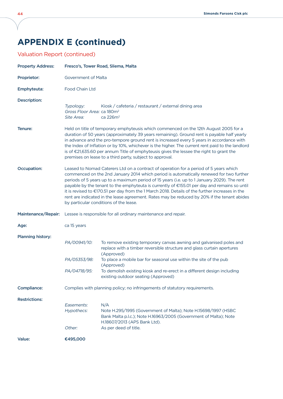# **Appendix E (continued)**

## Valuation Report (continued)

| <b>Property Address:</b> | Fresco's, Tower Road, Sliema, Malta                                                                                                                                                                                                                                                                                                                                                                                                                                                                                                                                                                                         |                                                                                                                                                                                                     |  |
|--------------------------|-----------------------------------------------------------------------------------------------------------------------------------------------------------------------------------------------------------------------------------------------------------------------------------------------------------------------------------------------------------------------------------------------------------------------------------------------------------------------------------------------------------------------------------------------------------------------------------------------------------------------------|-----------------------------------------------------------------------------------------------------------------------------------------------------------------------------------------------------|--|
| Proprietor:              | Government of Malta                                                                                                                                                                                                                                                                                                                                                                                                                                                                                                                                                                                                         |                                                                                                                                                                                                     |  |
| Emphyteuta:              | <b>Food Chain Ltd</b>                                                                                                                                                                                                                                                                                                                                                                                                                                                                                                                                                                                                       |                                                                                                                                                                                                     |  |
| <b>Description:</b>      | Typology:<br>Gross Floor Area: ca 180m <sup>2</sup><br>Site Area:                                                                                                                                                                                                                                                                                                                                                                                                                                                                                                                                                           | Kiosk / cafeteria / restaurant / external dining area<br>ca 226m <sup>2</sup>                                                                                                                       |  |
| Tenure:                  | Held on title of temporary emphyteusis which commenced on the 12th August 2005 for a<br>duration of 50 years (approximately 39 years remaining). Ground rent is payable half yearly<br>in advance and the pro-tempore ground rent is increased every 5 years in accordance with<br>the Index of Inflation or by 10%, whichever is the higher. The current rent paid to the landlord<br>is of €21,635.60 per annum Title of emphyteusis gives the lessee the right to grant the<br>premises on lease to a third party, subject to approval.                                                                                  |                                                                                                                                                                                                     |  |
| Occupation:              | Leased to Nomad Caterers Ltd on a contract of operation for a period of 5 years which<br>commenced on the 2nd January 2014 which period is automatically renewed for two further<br>periods of 5 years up to a maximum period of 15 years (i.e. up to 1 January 2029). The rent<br>payable by the tenant to the emphyteuta is currently of €155.01 per day and remains so until<br>it is revised to €170.51 per day from the 1 March 2018. Details of the further increases in the<br>rent are indicated in the lease agreement. Rates may be reduced by 20% if the tenant abides<br>by particular conditions of the lease. |                                                                                                                                                                                                     |  |
| Maintenance/Repair:      |                                                                                                                                                                                                                                                                                                                                                                                                                                                                                                                                                                                                                             | Lessee is responsible for all ordinary maintenance and repair.                                                                                                                                      |  |
| Age:                     | ca 15 years                                                                                                                                                                                                                                                                                                                                                                                                                                                                                                                                                                                                                 |                                                                                                                                                                                                     |  |
| <b>Planning history:</b> |                                                                                                                                                                                                                                                                                                                                                                                                                                                                                                                                                                                                                             |                                                                                                                                                                                                     |  |
|                          | PA/00941/10:                                                                                                                                                                                                                                                                                                                                                                                                                                                                                                                                                                                                                | To remove existing temporary canvas awning and galvanised poles and<br>replace with a timber reversible structure and glass curtain apertures<br>(Approved)                                         |  |
|                          | PA/05353/98:                                                                                                                                                                                                                                                                                                                                                                                                                                                                                                                                                                                                                | To place a mobile bar for seasonal use within the site of the pub<br>(Approved)                                                                                                                     |  |
|                          | PA/04718/95:                                                                                                                                                                                                                                                                                                                                                                                                                                                                                                                                                                                                                | To demolish existing kiosk and re-erect in a different design including<br>existing outdoor seating (Approved)                                                                                      |  |
| <b>Compliance:</b>       | Complies with planning policy; no infringements of statutory requirements.                                                                                                                                                                                                                                                                                                                                                                                                                                                                                                                                                  |                                                                                                                                                                                                     |  |
| <b>Restrictions:</b>     | Easements:<br>Hypothecs:<br>Other:                                                                                                                                                                                                                                                                                                                                                                                                                                                                                                                                                                                          | N/A<br>Note H.295/1995 (Government of Malta); Note H.15698/1997 (HSBC<br>Bank Malta p.l.c.); Note H.16963/2005 (Government of Malta); Note<br>H.18607/2013 (APS Bank Ltd).<br>As per deed of title. |  |
| Value:                   | €495,000                                                                                                                                                                                                                                                                                                                                                                                                                                                                                                                                                                                                                    |                                                                                                                                                                                                     |  |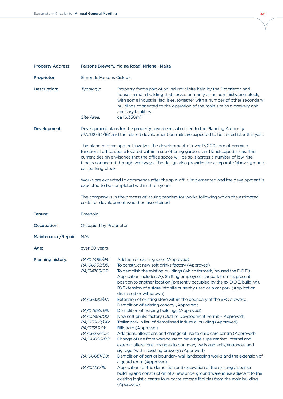| <b>Property Address:</b> | Farsons Brewery, Mdina Road, Mriehel, Malta                                                                                             |                                                                                                                                                                                                                                                                                                                                                                                                                                                                                                                                                                                                                           |  |
|--------------------------|-----------------------------------------------------------------------------------------------------------------------------------------|---------------------------------------------------------------------------------------------------------------------------------------------------------------------------------------------------------------------------------------------------------------------------------------------------------------------------------------------------------------------------------------------------------------------------------------------------------------------------------------------------------------------------------------------------------------------------------------------------------------------------|--|
| Proprietor:              | Simonds Farsons Cisk plc                                                                                                                |                                                                                                                                                                                                                                                                                                                                                                                                                                                                                                                                                                                                                           |  |
| Description:             | Typology:<br>Site Area:                                                                                                                 | Property forms part of an industrial site held by the Proprietor, and<br>houses a main building that serves primarily as an administration block,<br>with some industrial facilities, together with a number of other secondary<br>buildings connected to the operation of the main site as a brewery and<br>ancillary facilities.<br>ca 16,350m <sup>2</sup>                                                                                                                                                                                                                                                             |  |
| Development:             |                                                                                                                                         | Development plans for the property have been submitted to the Planning Authority<br>(PA/02764/16) and the related development permits are expected to be issued later this year.                                                                                                                                                                                                                                                                                                                                                                                                                                          |  |
|                          | car parking block.                                                                                                                      | The planned development involves the development of over 15,000 sqm of premium<br>functional office space located within a site offering gardens and landscaped areas. The<br>current design envisages that the office space will be split across a number of low-rise<br>blocks connected through walkways. The design also provides for a separate 'above-ground'                                                                                                                                                                                                                                                       |  |
|                          | Works are expected to commence after the spin-off is implemented and the development is<br>expected to be completed within three years. |                                                                                                                                                                                                                                                                                                                                                                                                                                                                                                                                                                                                                           |  |
|                          |                                                                                                                                         | The company is in the process of issuing tenders for works following which the estimated<br>costs for development would be ascertained.                                                                                                                                                                                                                                                                                                                                                                                                                                                                                   |  |
| Tenure:                  | Freehold                                                                                                                                |                                                                                                                                                                                                                                                                                                                                                                                                                                                                                                                                                                                                                           |  |
| <b>Occupation:</b>       | Occupied by Proprietor                                                                                                                  |                                                                                                                                                                                                                                                                                                                                                                                                                                                                                                                                                                                                                           |  |
| Maintenance/Repair:      | N/A                                                                                                                                     |                                                                                                                                                                                                                                                                                                                                                                                                                                                                                                                                                                                                                           |  |
| Age:                     | over 60 years                                                                                                                           |                                                                                                                                                                                                                                                                                                                                                                                                                                                                                                                                                                                                                           |  |
| Planning history:        | PA/04485/94:<br>PA/06950/95:<br>PA/04765/97:<br>PA/06390/97:                                                                            | Addition of existing store (Approved)<br>To construct new soft drinks factory (Approved)<br>To demolish the existing buildings (which formerly housed the D.O.E.).<br>Application includes: A). Shifting employees' car park from its present<br>position to another location (presently occupied by the ex-D.O.E. building).<br>B) Extension of a store into site currently used as a car park (Application<br>dismissed or withdrawn)<br>Extension of existing store within the boundary of the SFC brewery.                                                                                                            |  |
|                          | PA/04652/99:<br>PA/02898/00:<br>PA/05660/00:<br>PA/01357/01:<br>PA/06273/05:<br>PA/00606/08:<br>PA/00061/09:                            | Demolition of existing canopy (Approved)<br>Demolition of existing buildings (Approved)<br>New soft drinks factory (Outline Development Permit - Approved)<br>Trailer park in lieu of demolished industrial building (Approved)<br><b>Billboard (Approved)</b><br>Additions, alterations and change of use to child care centre (Approved)<br>Change of use from warehouse to beverage supermarket. Internal and<br>external alterations, changes to boundary walls and exits/entrances and<br>signage (within existing brewery) (Approved)<br>Demolition of part of boundary wall landscaping works and the extension of |  |
|                          | PA/02731/15:                                                                                                                            | a guard room (Approved)<br>Application for the demolition and excavation of the existing dispense<br>building and construction of a new underground warehouse adjacent to the<br>existing logistic centre to relocate storage facilities from the main building<br>(Approved)                                                                                                                                                                                                                                                                                                                                             |  |

γ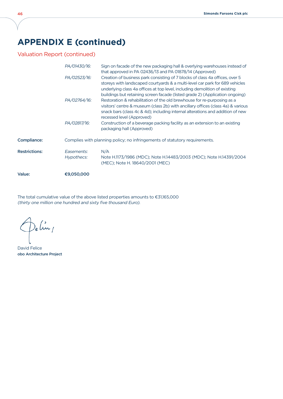# **Appendix E (continued)**

Valuation Report (continued)

|                      | PA/01430/16:<br>PA/02523/16: | Sign on facade of the new packaging hall & overlying warehouses instead of<br>that approved in PA 02436/13 and PA 01878/14 (Approved)<br>Creation of business park consisting of 7 blocks of class 4a offices, over 5<br>storeys with landscaped courtyards & a multi-level car park for 689 vehicles<br>underlying class 4a offices at top level, including demolition of existing<br>buildings but retaining screen facade (listed grade 2) (Application ongoing) |
|----------------------|------------------------------|---------------------------------------------------------------------------------------------------------------------------------------------------------------------------------------------------------------------------------------------------------------------------------------------------------------------------------------------------------------------------------------------------------------------------------------------------------------------|
|                      | PA/02764/16:                 | Restoration & rehabilitation of the old brewhouse for re-purposing as a<br>visitors' centre & museum (class 2b) with ancillary offices (class 4a) & various<br>snack bars (class 4c & 4d); including internal alterations and addition of new<br>recessed level (Approved)                                                                                                                                                                                          |
|                      | PA/02817/16:                 | Construction of a beverage packing facility as an extension to an existing<br>packaging hall (Approved)                                                                                                                                                                                                                                                                                                                                                             |
| Compliance:          |                              | Complies with planning policy; no infringements of statutory requirements.                                                                                                                                                                                                                                                                                                                                                                                          |
| <b>Restrictions:</b> | Easements:<br>Hypothecs:     | N/A<br>Note H.1173/1986 (MDC); Note H.14483/2003 (MDC); Note H.14391/2004<br>(MEC); Note H. 18640/2001 (MEC)                                                                                                                                                                                                                                                                                                                                                        |
| Value:               | €9,050,000                   |                                                                                                                                                                                                                                                                                                                                                                                                                                                                     |

The total cumulative value of the above listed properties amounts to  $\epsilon$ 31,165,000 (thirty one million one hundred and sixty five thousand Euro).

)e (in /

David Felice obo Architecture Project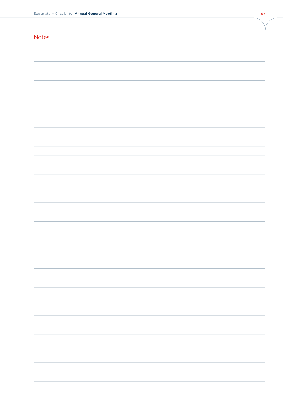| <b>Notes</b> |  |
|--------------|--|
|              |  |
|              |  |
|              |  |
|              |  |
|              |  |
|              |  |
|              |  |
|              |  |
|              |  |
|              |  |
|              |  |
|              |  |
|              |  |
|              |  |
|              |  |
|              |  |
|              |  |
|              |  |
|              |  |
|              |  |
|              |  |
|              |  |
|              |  |
|              |  |
|              |  |
|              |  |
|              |  |
|              |  |
|              |  |
|              |  |
|              |  |
|              |  |
|              |  |
|              |  |
|              |  |
|              |  |
|              |  |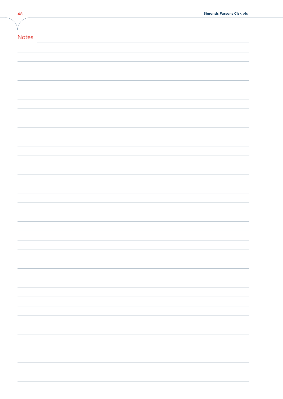| .<br>$\sim$<br>___ |  |  |
|--------------------|--|--|
|--------------------|--|--|

| <b>Notes</b> |
|--------------|
|              |
|              |
|              |
|              |
|              |
|              |
|              |
|              |
|              |
|              |
|              |
|              |
|              |
|              |
|              |
|              |
|              |
|              |
|              |
|              |
|              |
|              |
|              |
|              |
|              |
|              |
|              |
|              |
|              |
|              |
|              |
|              |
|              |
|              |
|              |
|              |
|              |
|              |
|              |
|              |

Ι